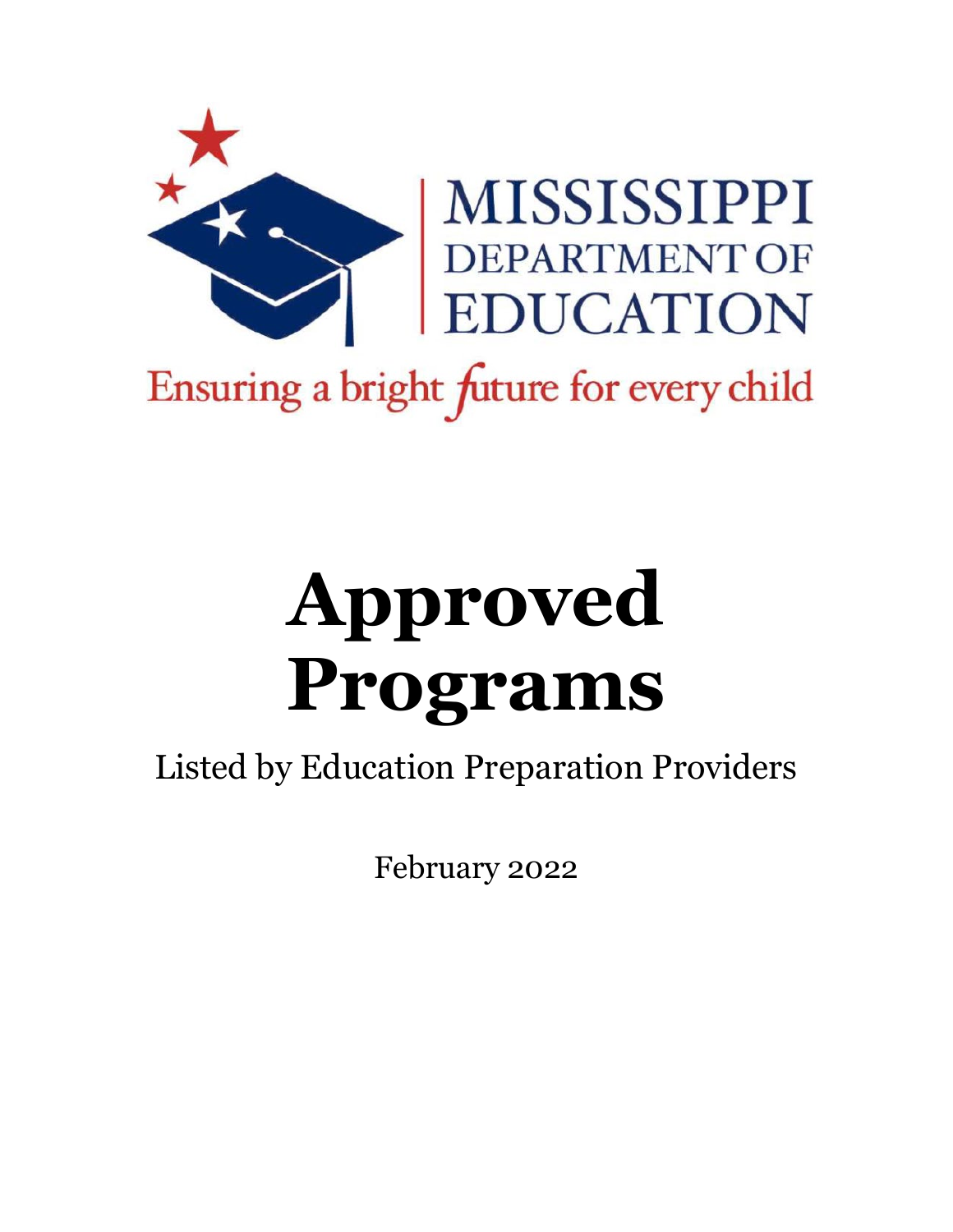

# MISSISSIPPI<br>DEPARTMENT OF<br>EDUCATION

## Ensuring a bright future for every child

# **Approved Programs**

Listed by Education Preparation Providers

February 2022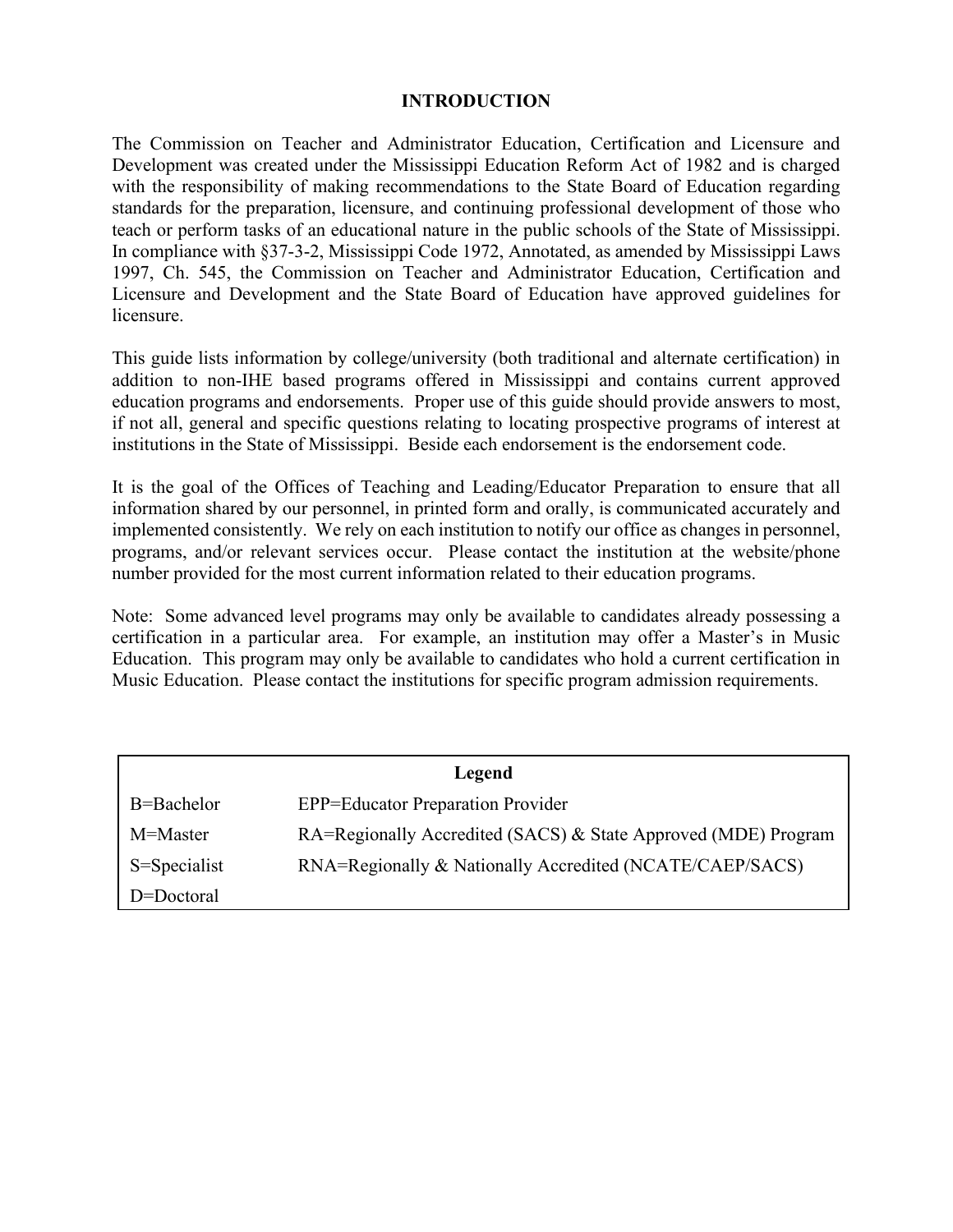### **INTRODUCTION**

The Commission on Teacher and Administrator Education, Certification and Licensure and Development was created under the Mississippi Education Reform Act of 1982 and is charged with the responsibility of making recommendations to the State Board of Education regarding standards for the preparation, licensure, and continuing professional development of those who teach or perform tasks of an educational nature in the public schools of the State of Mississippi. In compliance with §37-3-2, Mississippi Code 1972, Annotated, as amended by Mississippi Laws 1997, Ch. 545, the Commission on Teacher and Administrator Education, Certification and Licensure and Development and the State Board of Education have approved guidelines for licensure.

This guide lists information by college/university (both traditional and alternate certification) in addition to non-IHE based programs offered in Mississippi and contains current approved education programs and endorsements. Proper use of this guide should provide answers to most, if not all, general and specific questions relating to locating prospective programs of interest at institutions in the State of Mississippi. Beside each endorsement is the endorsement code.

It is the goal of the Offices of Teaching and Leading/Educator Preparation to ensure that all information shared by our personnel, in printed form and orally, is communicated accurately and implemented consistently. We rely on each institution to notify our office as changes in personnel, programs, and/or relevant services occur. Please contact the institution at the website/phone number provided for the most current information related to their education programs.

Note: Some advanced level programs may only be available to candidates already possessing a certification in a particular area. For example, an institution may offer a Master's in Music Education. This program may only be available to candidates who hold a current certification in Music Education. Please contact the institutions for specific program admission requirements.

| Legend       |                                                                |
|--------------|----------------------------------------------------------------|
| B=Bachelor   | <b>EPP=Educator Preparation Provider</b>                       |
| M=Master     | RA=Regionally Accredited (SACS) & State Approved (MDE) Program |
| S=Specialist | RNA=Regionally & Nationally Accredited (NCATE/CAEP/SACS)       |
| D=Doctoral   |                                                                |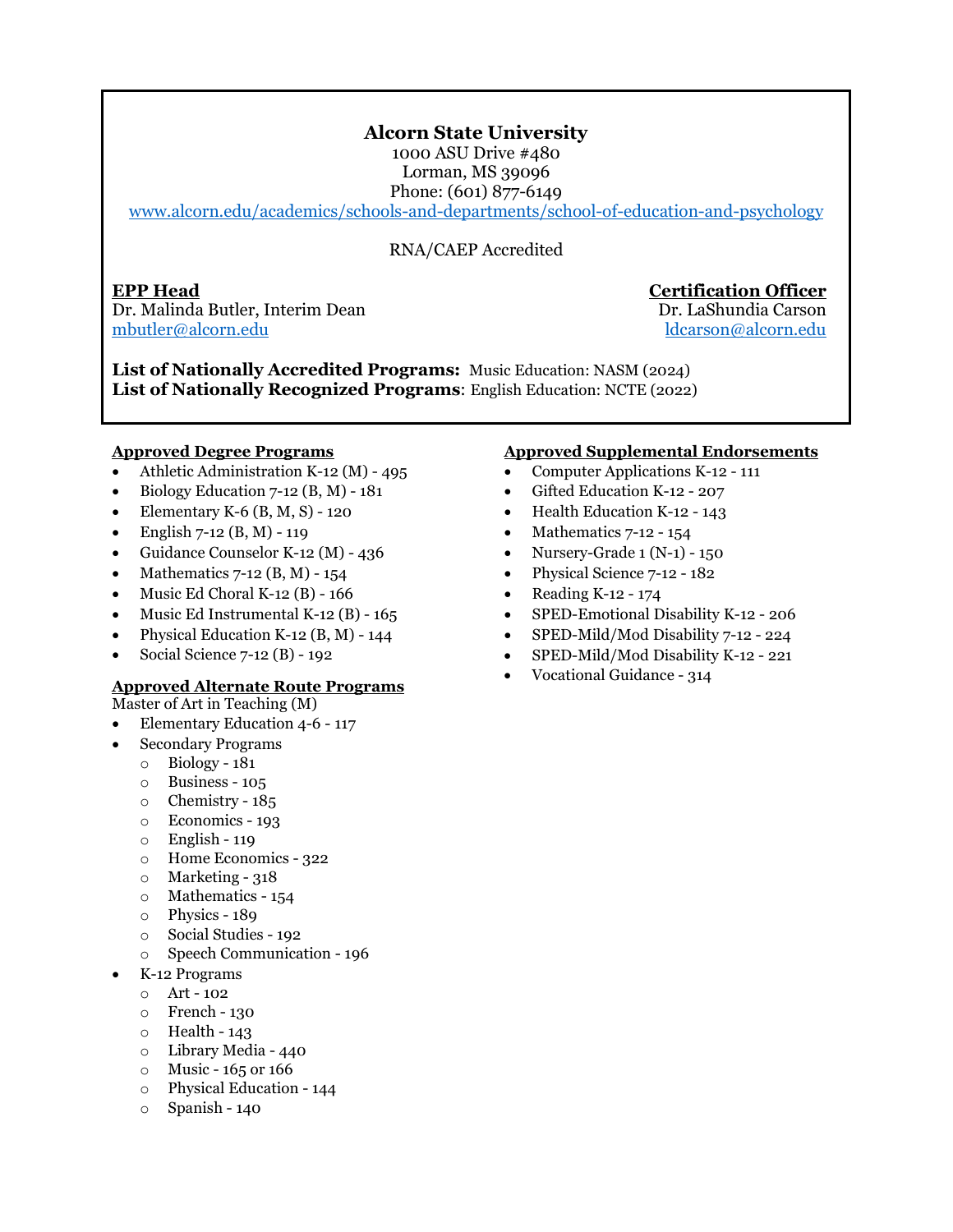### **Alcorn State University**

1000 ASU Drive #480 Lorman, MS 39096 Phone: (601) 877-6149

[www.alcorn.edu/academics/schools-and-departments/school-of-education-and-psychology](http://www.alcorn.edu/academics/schools-and-departments/school-of-education-and-psychology) 

### RNA/CAEP Accredited

**EPP Head Certification Officer** Dr. Malinda Butler, Interim Dean Dr. LaShundia Carson [mbutler@alcorn.edu](mailto:mbutler@alcorn.edu) [ldcarson@alcorn.edu](mailto:ldcarson@alcorn.edu)

**List of Nationally Accredited Programs:** Music Education: NASM (2024) **List of Nationally Recognized Programs**: English Education: NCTE (2022)

### **Approved Degree Programs**

- Athletic Administration K-12 (M) 495
- Biology Education 7-12 (B, M) 181
- Elementary K-6  $(B, M, S)$  120
- English 7-12 (B, M) 119
- Guidance Counselor K-12 (M) 436
- Mathematics 7-12 (B, M) 154
- Music Ed Choral K-12 (B) 166
- Music Ed Instrumental K-12 (B) 165
- Physical Education K-12 (B, M) 144
- Social Science 7-12 (B) 192

### **Approved Alternate Route Programs**

Master of Art in Teaching (M)

- Elementary Education 4-6 117
- Secondary Programs
	- o Biology 181
	- o Business 105
	- o Chemistry 185
	- o Economics 193
	- o English 119
	- o Home Economics 322
	- $\circ$  Marketing 318
	- o Mathematics 154
	- o Physics 189
	- o Social Studies 192
	- o Speech Communication 196
- K-12 Programs
	- o Art 102
	- o French 130
	- o Health 143
	- o Library Media 440
	- o Music 165 or 166
	- o Physical Education 144
	- o Spanish 140

- Computer Applications K-12 111
- Gifted Education K-12 207
- Health Education K-12 143
- Mathematics 7-12 154
- Nursery-Grade  $1 (N-1) 150$
- Physical Science 7-12 182
- Reading K-12 174
- SPED-Emotional Disability K-12 206
- SPED-Mild/Mod Disability 7-12 224
- SPED-Mild/Mod Disability K-12 221
- Vocational Guidance 314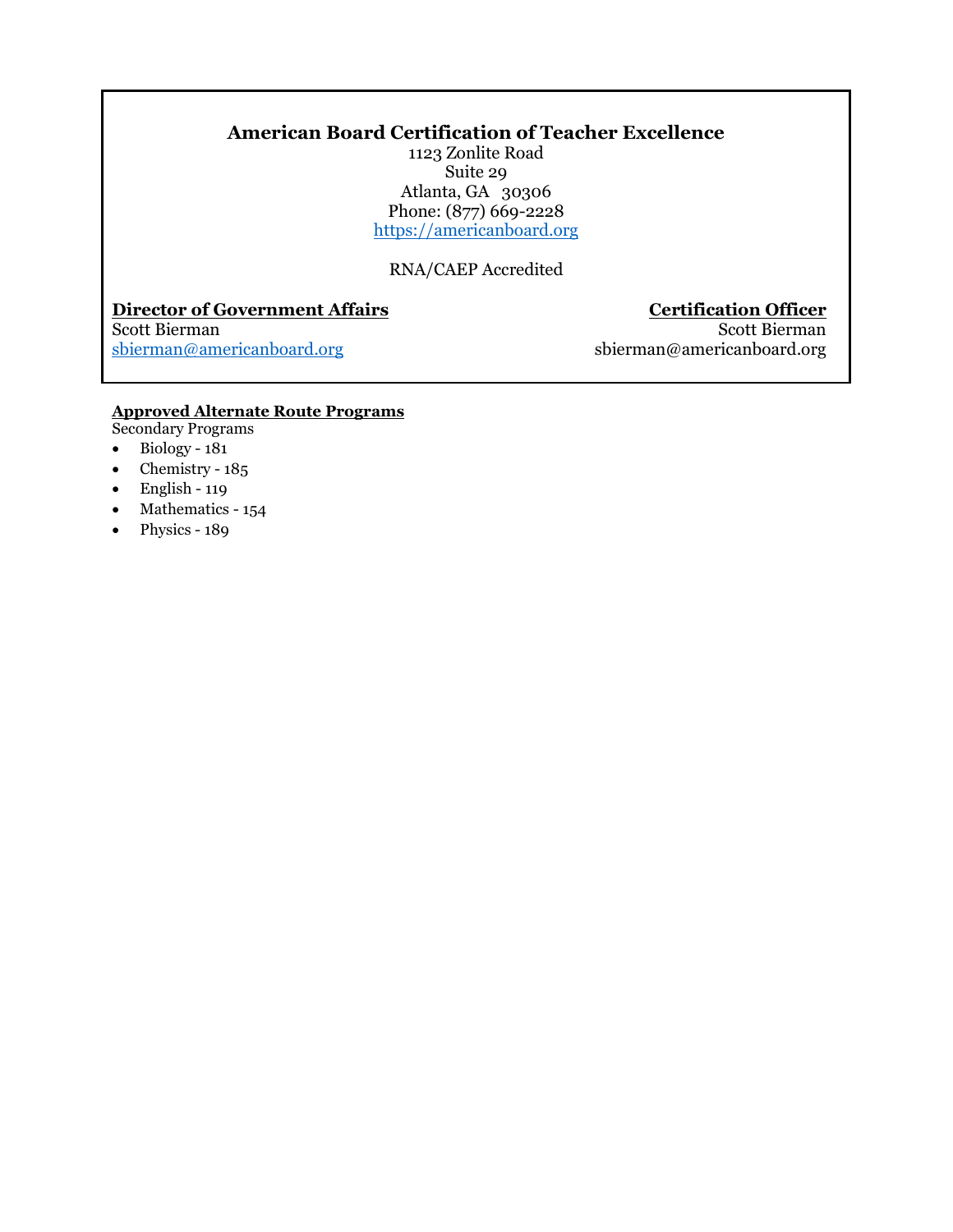### **American Board Certification of Teacher Excellence**

1123 Zonlite Road Suite 29 Atlanta, GA 30306 Phone: (877) 669-2228 https://americanboard.org

RNA/CAEP Accredited

### **Director of Government Affairs Certification Officer**

### Scott Bierman<br>shierman@americanboard.org

[sbierman@americanboard.org](mailto:sbierman@americanboard.org) sbierman@americanboard.org

### **Approved Alternate Route Programs**

- Secondary Programs
- Biology 181
- Chemistry  $185$
- English 119
- Mathematics 154
- Physics 189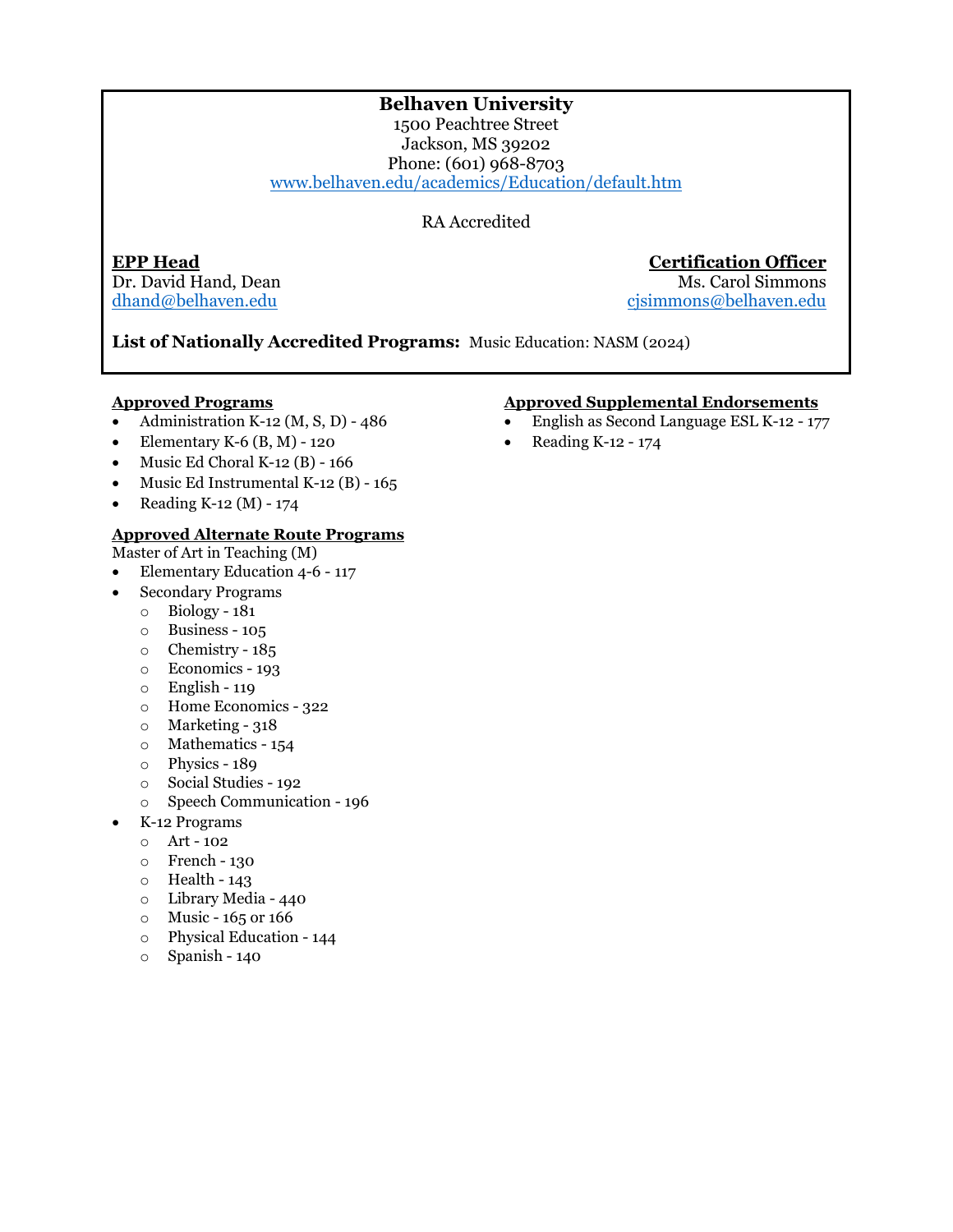### **Belhaven University**

1500 Peachtree Street Jackson, MS 39202 Phone: (601) 968-8703 [www.belhaven.edu/academics/Education/default.htm](http://www.belhaven.edu/academics/Education/default.htm) 

RA Accredited

Dr. David Hand, Dean<br>dhand@belhaven.edu

**EPP Head Certification Officer** cjsimmons@belhaven.edu

**List of Nationally Accredited Programs:** Music Education: NASM (2024)

### **Approved Programs**

- Administration K-12 (M, S, D)  $486$
- Elementary K-6  $(B, M)$  120
- Music Ed Choral K-12 (B)  $166$
- Music Ed Instrumental K-12 (B) 165
- Reading K-12 (M) 174

### **Approved Alternate Route Programs**

Master of Art in Teaching (M)

- Elementary Education 4-6 117
- Secondary Programs
	- o Biology 181
	- o Business 105
	- o Chemistry 185
	- o Economics 193
	- o English 119
	- o Home Economics 322
	- o Marketing 318
	- o Mathematics 154
	- o Physics 189
	- o Social Studies 192
	- o Speech Communication 196
- K-12 Programs
	- o Art 102
	- o French 130
	- $\circ$  Health 143
	- o Library Media 440
	- $\circ$  Music 165 or 166
	- o Physical Education 144
	- o Spanish 140

- English as Second Language ESL K-12 177
- Reading K-12 174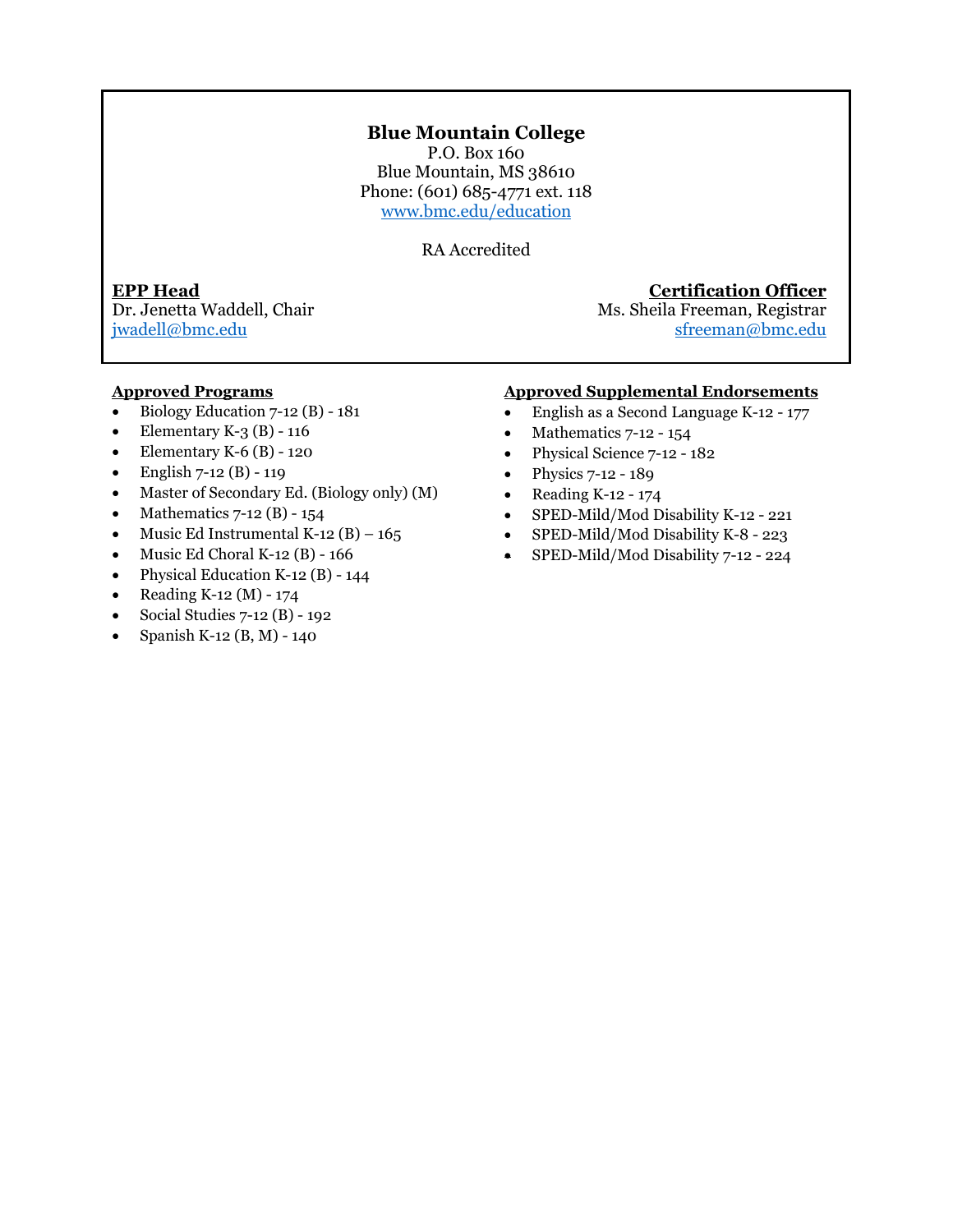### **Blue Mountain College**

P.O. Box 160 Blue Mountain, MS 38610 Phone: (601) 685-4771 ext. 118 [www.bmc.edu/education](http://www.bmc.edu/education) 

RA Accredited

**EPP Head Certification Officer** Ms. Sheila Freeman, Registrar [jwadell@bmc.edu](mailto:jwadell@bmc.edu) [sfreeman@bmc.edu](mailto:sfreeman@bmc.edu)

### **Approved Programs**

- Biology Education 7-12 (B) 181
- Elementary K-3  $(B)$  116
- Elementary K-6  $(B)$  120
- English  $7-12$  (B) 119
- Master of Secondary Ed. (Biology only) (M)
- Mathematics  $7-12$  (B)  $-154$
- Music Ed Instrumental K-12  $(B) 165$
- Music Ed Choral K-12  $(B)$  166
- Physical Education K-12 (B) 144
- Reading K-12 (M) 174
- Social Studies 7-12 (B) 192
- Spanish K-12 (B, M) 140

- English as a Second Language K-12 177
- Mathematics  $7-12 154$
- Physical Science 7-12 182
- Physics 7-12 189
- Reading K-12 174
- SPED-Mild/Mod Disability K-12 221
- SPED-Mild/Mod Disability K-8 223
- SPED-Mild/Mod Disability 7-12 224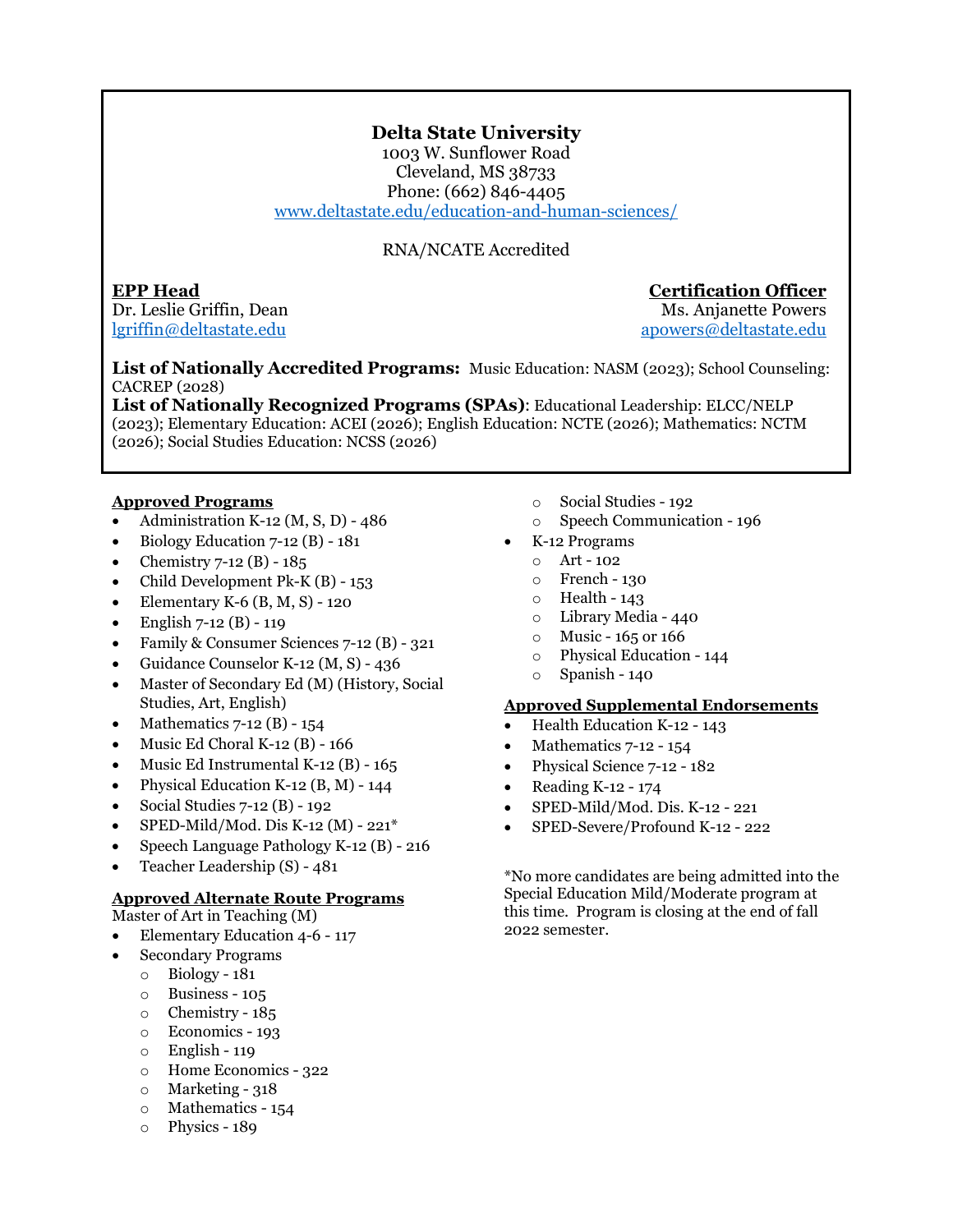### **Delta State University**

1003 W. Sunflower Road Cleveland, MS 38733 Phone: (662) 846-4405 [www.deltastate.edu/education-and-human-sciences/](http://www.deltastate.edu/education-and-human-sciences/) 

### RNA/NCATE Accredited

**EPP Head Certification Officer** Dr. Leslie Griffin, Dean Ms. Anjanette Powers

[lgriffin@deltastate.edu](mailto:lgriffin@deltastate.edu) [apowers@deltastate.edu](mailto:apowers@deltastate.edu)

**List of Nationally Accredited Programs:** Music Education: NASM (2023); School Counseling: CACREP (2028)

**List of Nationally Recognized Programs (SPAs)**: Educational Leadership: ELCC/NELP (2023); Elementary Education: ACEI (2026); English Education: NCTE (2026); Mathematics: NCTM (2026); Social Studies Education: NCSS (2026)

### **Approved Programs**

- Administration K-12  $(M, S, D)$  486
- Biology Education 7-12 (B) 181
- Chemistry 7-12 (B) 185
- Child Development Pk-K (B) 153
- Elementary K-6  $(B, M, S)$  120
- English  $7-12$  (B) 119
- Family & Consumer Sciences 7-12 (B) 321
- Guidance Counselor K-12 (M, S) 436
- Master of Secondary Ed (M) (History, Social Studies, Art, English)
- Mathematics 7-12 (B) 154
- Music Ed Choral K-12 (B) 166
- Music Ed Instrumental K-12 (B) 165
- Physical Education K-12 (B, M) 144
- Social Studies 7-12 (B) 192
- SPED-Mild/Mod. Dis K-12 (M) 221\*
- Speech Language Pathology K-12 (B) 216
- Teacher Leadership (S) 481

### **Approved Alternate Route Programs**

Master of Art in Teaching (M)

- Elementary Education 4-6 117
- Secondary Programs
	- o Biology 181
	- o Business 105
	- o Chemistry 185
	- o Economics 193
	- o English 119
	- o Home Economics 322
	- o Marketing 318
	- o Mathematics 154
	- o Physics 189
- o Social Studies 192
- o Speech Communication 196
- K-12 Programs
	- $O$  Art 102
	- o French 130
	- o Health 143
	- o Library Media 440
	- $\circ$  Music 165 or 166
	- o Physical Education 144
	- o Spanish 140

### **Approved Supplemental Endorsements**

- Health Education K-12 143
- Mathematics 7-12 154
- Physical Science 7-12 182
- Reading K-12 174
- SPED-Mild/Mod. Dis. K-12 221
- SPED-Severe/Profound K-12 222

\*No more candidates are being admitted into the Special Education Mild/Moderate program at this time. Program is closing at the end of fall 2022 semester.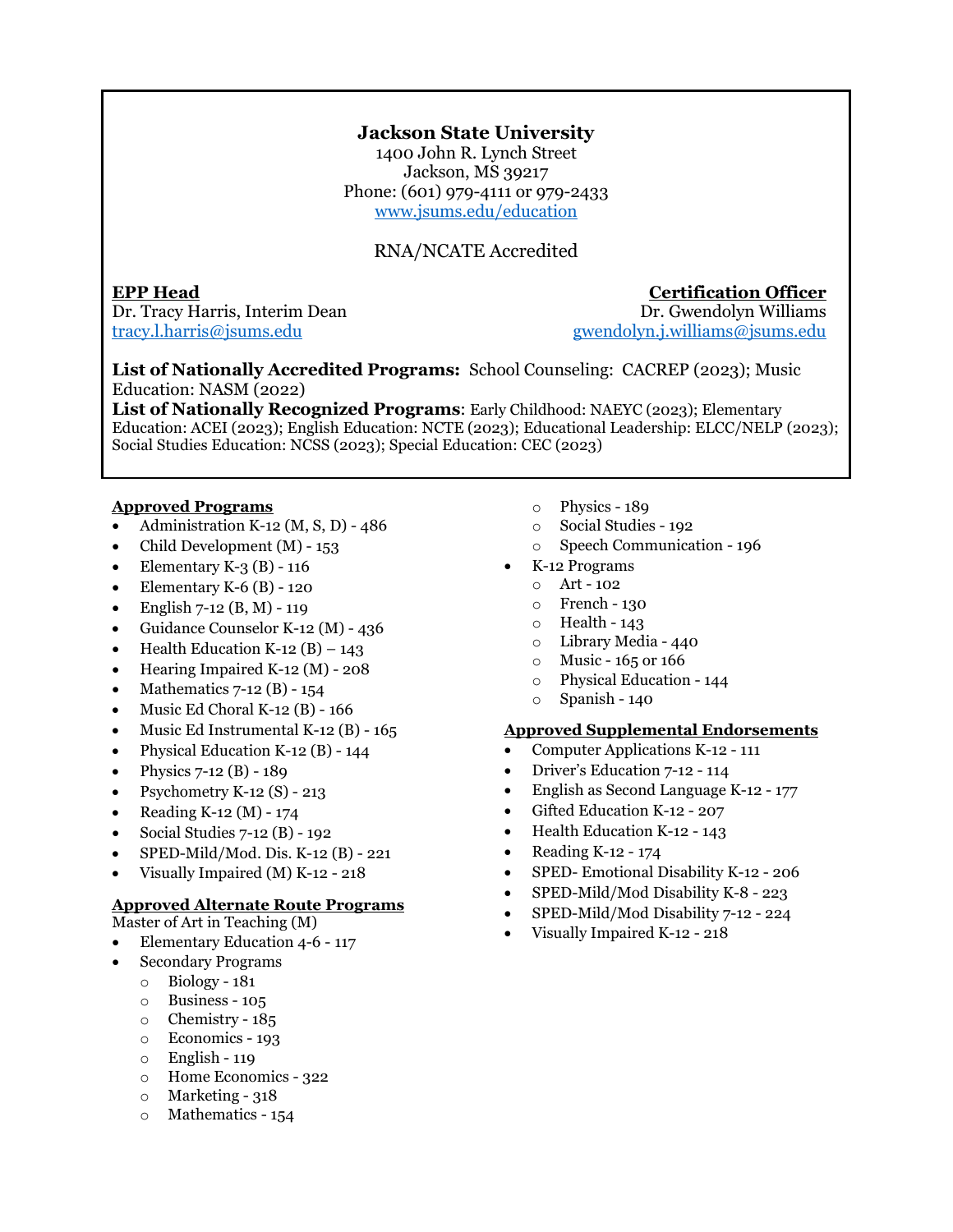### **Jackson State University**

1400 John R. Lynch Street Jackson, MS 39217 Phone: (601) 979-4111 or 979-2433 [www.jsums.edu/education](http://www.jsums.edu/education)

### RNA/NCATE Accredited

**EPP Head**<br>Dr. Tracy Harris, Interim Dean<br>Dr. Gwendolyn Williams Dr. Tracy Harris, Interim Dean

[tracy.l.harris@jsums.edu](mailto:tracy.l.harris@jsums.edu) [gwendolyn.j.williams@jsums.edu](mailto:gwendolyn.j.williams@jsums.edu) 

**List of Nationally Accredited Programs:** School Counseling: CACREP (2023); Music Education: NASM (2022)

**List of Nationally Recognized Programs**: Early Childhood: NAEYC (2023); Elementary Education: ACEI (2023); English Education: NCTE (2023); Educational Leadership: ELCC/NELP (2023); Social Studies Education: NCSS (2023); Special Education: CEC (2023)

### **Approved Programs**

- Administration K-12 (M, S, D) 486
- Child Development (M) 153
- Elementary K-3  $(B)$  116
- Elementary K-6  $(B)$  120
- English 7-12 (B, M) 119
- Guidance Counselor K-12 (M) 436
- Health Education K-12  $(B)$  143
- Hearing Impaired K-12 (M) 208
- Mathematics  $7-12$  (B)  $154$
- Music Ed Choral K-12  $(B)$  166
- Music Ed Instrumental K-12 (B) 165
- Physical Education K-12 (B) 144
- Physics 7-12 (B) 189
- Psychometry K-12  $(S)$  213
- Reading K-12 (M) 174
- Social Studies 7-12 (B) 192
- SPED-Mild/Mod. Dis. K-12 (B) 221
- Visually Impaired (M) K-12 218

### **Approved Alternate Route Programs**

- Master of Art in Teaching (M)
- Elementary Education 4-6 117
- Secondary Programs
	- o Biology 181
	- o Business 105
	- o Chemistry 185
	- o Economics 193
	- $\circ$  English 119
	- o Home Economics 322
	- o Marketing 318
	- o Mathematics 154
- o Physics 189
- o Social Studies 192
- o Speech Communication 196
- K-12 Programs
- o Art 102
	- o French 130
	- $\circ$  Health 143
	- o Library Media 440
	- $\circ$  Music 165 or 166
	- o Physical Education 144
	- o Spanish 140

- Computer Applications K-12 111
- Driver's Education 7-12 114
- English as Second Language K-12 177
- Gifted Education K-12 207
- Health Education K-12 143
- Reading K-12 174
- SPED- Emotional Disability K-12 206
- SPED-Mild/Mod Disability K-8 223
- SPED-Mild/Mod Disability 7-12 224
- Visually Impaired K-12 218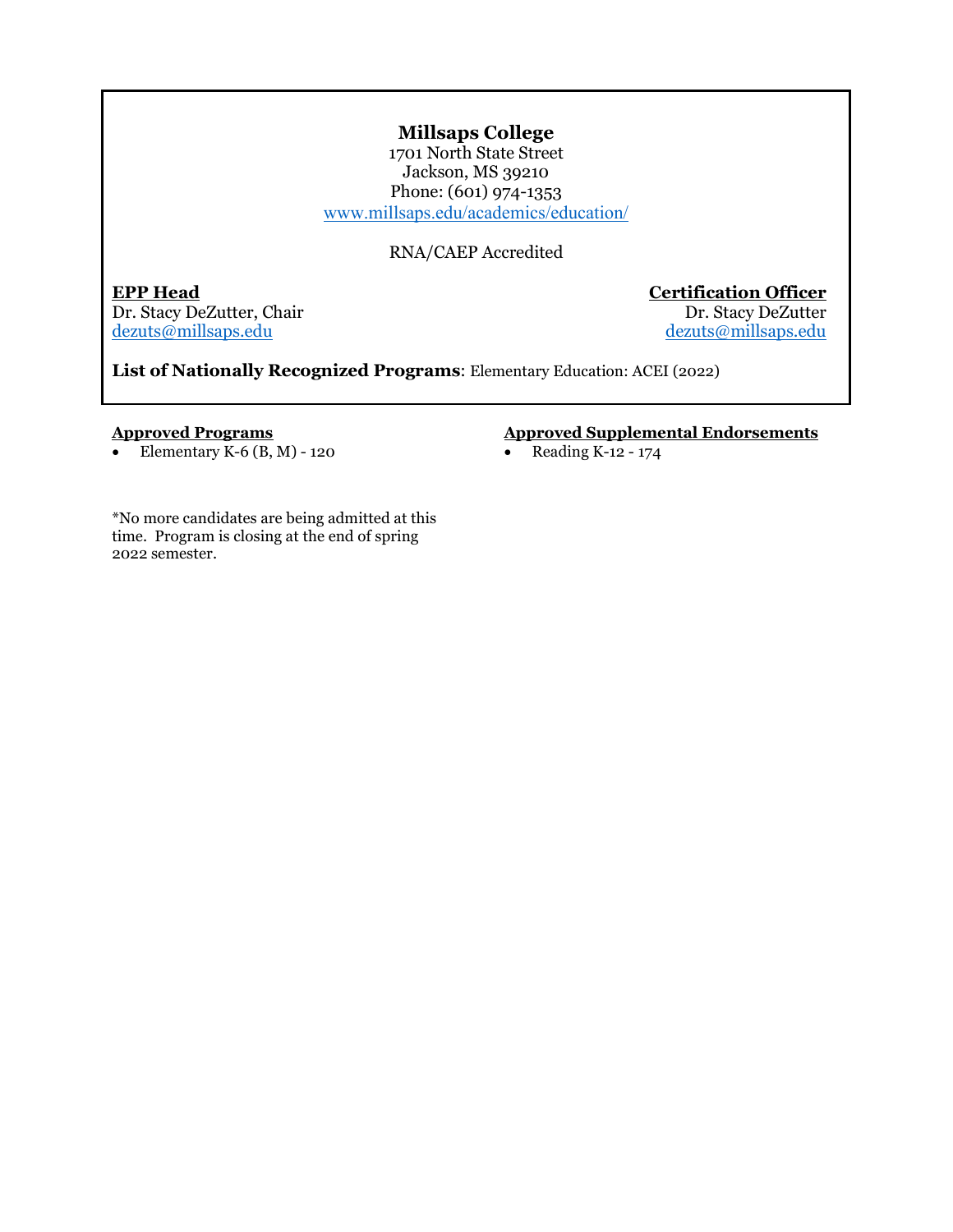### **Millsaps College**

1701 North State Street Jackson, MS 39210 Phone: (601) 974-1353 [www.millsaps.edu/academics/education/](http://www.millsaps.edu/academics/education/)

### RNA/CAEP Accredited

**EPP Head Certification Officer** Dr. Stacy DeZutter, Chair<br>dezuts@millsaps.edu

[dezuts@millsaps.edu](mailto:dezuts@millsaps.edu)

**List of Nationally Recognized Programs**: Elementary Education: ACEI (2022)

### **Approved Programs**

• Elementary K-6  $(B, M)$  - 120

### **Approved Supplemental Endorsements**

• Reading K-12 - 174

\*No more candidates are being admitted at this time. Program is closing at the end of spring 2022 semester.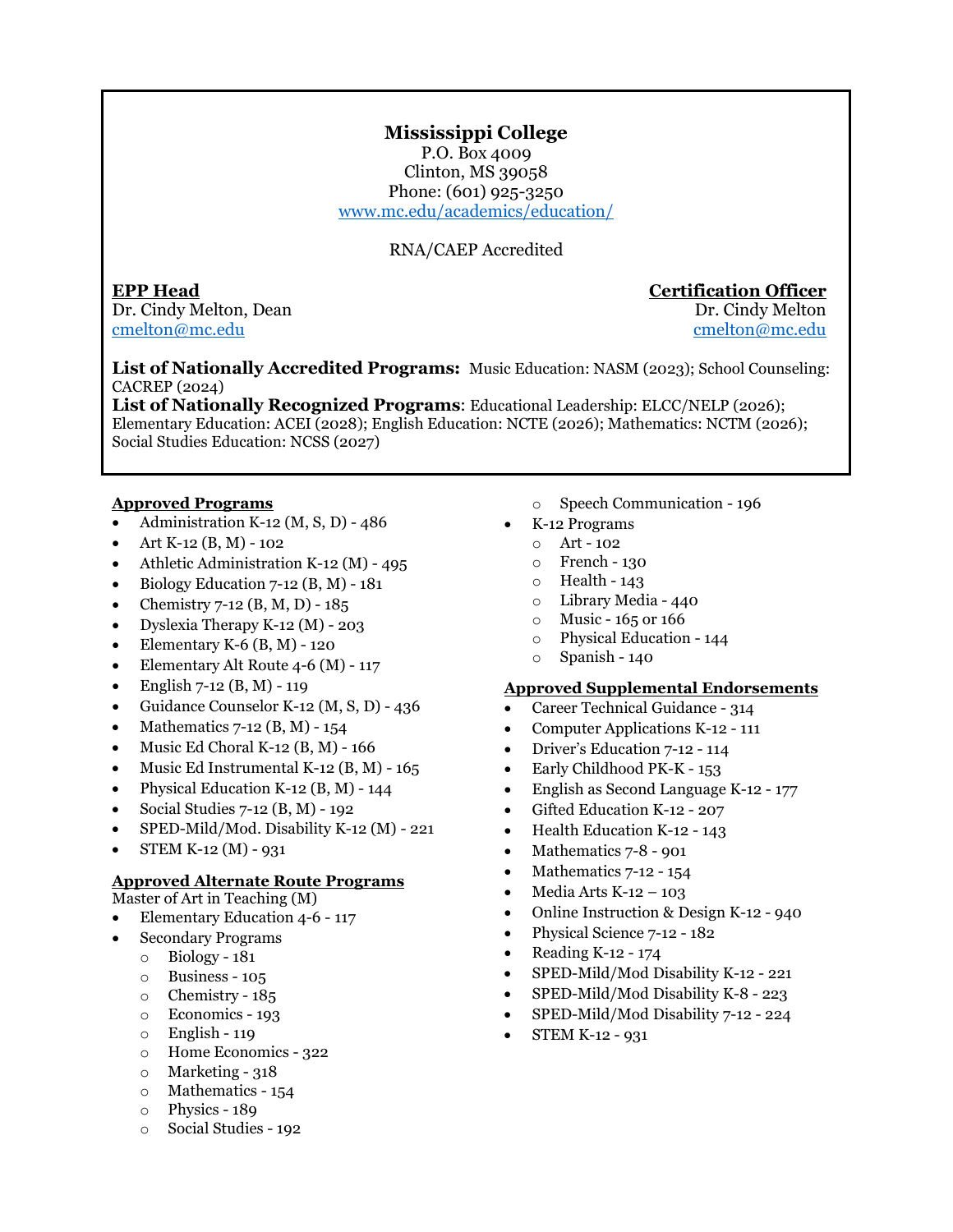### **Mississippi College**

P.O. Box 4009 Clinton, MS 39058 Phone: (601) 925-3250 [www.mc.edu/academics/education/](http://www.mc.edu/academics/education)

### RNA/CAEP Accredited

**EPP Head Certification Officer** Dr. Cindy Melton, Dean **Dr. Cindy Melton**, Dean [cmelton@mc.edu](mailto:cmelton@mc.edu) [cmelton@mc.edu](mailto:cmelton@mc.edu)

**List of Nationally Accredited Programs:** Music Education: NASM (2023); School Counseling: CACREP (2024)

**List of Nationally Recognized Programs**: Educational Leadership: ELCC/NELP (2026); Elementary Education: ACEI (2028); English Education: NCTE (2026); Mathematics: NCTM (2026); Social Studies Education: NCSS (2027)

### **Approved Programs**

- Administration K-12 (M, S, D) 486
- Art K-12 (B, M) 102
- Athletic Administration K-12 (M) 495
- Biology Education 7-12 (B, M) 181
- Chemistry 7-12 (B, M, D) 185
- Dyslexia Therapy K-12 (M) 203
- Elementary K-6  $(B, M)$  120
- Elementary Alt Route 4-6 (M) 117
- English 7-12 (B, M) 119
- Guidance Counselor K-12 (M, S, D) 436
- Mathematics 7-12 (B, M) 154
- Music Ed Choral K-12 (B, M) 166
- Music Ed Instrumental K-12 (B, M) 165
- Physical Education K-12 (B, M) 144
- Social Studies 7-12 (B, M) 192
- SPED-Mild/Mod. Disability K-12 (M) 221
- STEM K-12 (M) 931

### **Approved Alternate Route Programs**

Master of Art in Teaching (M)

- Elementary Education 4-6 117
	- Secondary Programs
		- $\circ$  Biology 181
		- o Business 105
	- o Chemistry 185
	- o Economics 193
	- $\circ$  English 119
	- o Home Economics 322
	- $\circ$  Marketing 318
	- o Mathematics 154
	- o Physics 189
	- o Social Studies 192
- o Speech Communication 196
- K-12 Programs
- o Art 102<br>
o French 1
- o French 130
- o Health 143
- o Library Media 440
- $\circ$  Music 165 or 166
- o Physical Education 144
- o Spanish 140

- Career Technical Guidance 314
- Computer Applications K-12 111
- Driver's Education 7-12 114
- Early Childhood PK-K 153
- English as Second Language K-12 177
- Gifted Education K-12 207
- Health Education K-12 143
- Mathematics 7-8 901
- Mathematics 7-12 154
- Media Arts  $K-12-103$
- Online Instruction & Design K-12 940
- Physical Science 7-12 182
- Reading K-12 174
- SPED-Mild/Mod Disability K-12 221
- SPED-Mild/Mod Disability K-8 223
- SPED-Mild/Mod Disability 7-12 224
- STEM K-12 931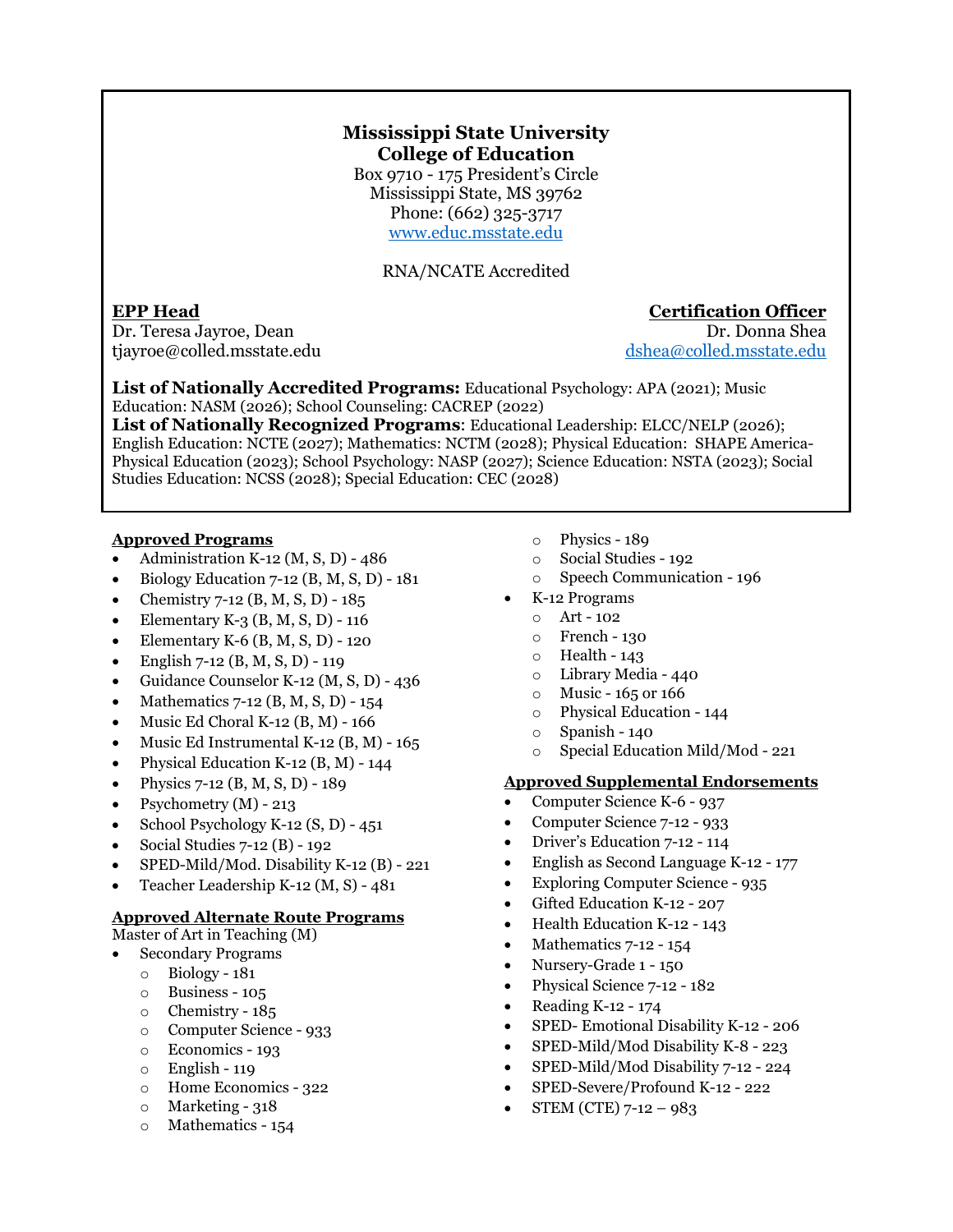### **Mississippi State University College of Education**

Box 9710 - 175 President's Circle Mississippi State, MS 39762 Phone: (662) 325-3717 [www.educ.msstate.edu](http://www.educ.msstate.edu/) 

RNA/NCATE Accredited

Dr. Teresa Jayroe, Dean Dr. Donna Shea tjayroe@colled.msstate.edu [dshea@colled.msstate.edu](mailto:dshea@colled.msstate.edu) 

**List of Nationally Accredited Programs:** Educational Psychology: APA (2021); Music Education: NASM (2026); School Counseling: CACREP (2022)

**List of Nationally Recognized Programs**: Educational Leadership: ELCC/NELP (2026); English Education: NCTE (2027); Mathematics: NCTM (2028); Physical Education: SHAPE America-Physical Education (2023); School Psychology: NASP (2027); Science Education: NSTA (2023); Social Studies Education: NCSS (2028); Special Education: CEC (2028)

### **Approved Programs**

- Administration K-12  $(M, S, D)$  486
- Biology Education 7-12 (B, M, S, D) 181
- Chemistry 7-12 (B, M, S, D) 185
- Elementary K-3 (B, M, S, D) 116
- Elementary K-6 (B, M, S, D) 120
- English 7-12 (B, M, S, D) 119
- Guidance Counselor K-12 (M, S, D) 436
- Mathematics 7-12 (B, M, S, D) 154
- Music Ed Choral K-12  $(B, M)$  166
- Music Ed Instrumental K-12 (B, M) 165
- Physical Education K-12 (B, M) 144
- Physics 7-12 (B, M, S, D) 189
- Psychometry (M) 213
- School Psychology K-12 (S, D) 451
- Social Studies 7-12 (B) 192
- SPED-Mild/Mod. Disability K-12 (B) 221
- Teacher Leadership K-12 (M, S) 481

### **Approved Alternate Route Programs**

Master of Art in Teaching (M)

- Secondary Programs
	- o Biology 181
	- o Business 105
	- o Chemistry 185
	- o Computer Science 933
	- o Economics 193
	- o English 119
	- o Home Economics 322
	- $\circ$  Marketing 318
	- o Mathematics 154
- o Physics 189
- o Social Studies 192
- o Speech Communication 196
- K-12 Programs
	- o Art 102
	- o French 130
	- o Health 143
	- o Library Media 440
	- $\circ$  Music 165 or 166
	- o Physical Education 144
	- o Spanish 140
	- Special Education Mild/Mod 221

### **Approved Supplemental Endorsements**

- Computer Science K-6 937
- Computer Science 7-12 933
- Driver's Education 7-12 114
- English as Second Language K-12 177
- Exploring Computer Science 935
- Gifted Education K-12 207
- Health Education K-12 143
- Mathematics 7-12 154
- Nursery-Grade 1 150
- Physical Science 7-12 182
- Reading K-12 174
- SPED- Emotional Disability K-12 206
- SPED-Mild/Mod Disability K-8 223
- SPED-Mild/Mod Disability 7-12 224
- SPED-Severe/Profound K-12 222
- STEM (CTE) 7-12 983

### **EPP Head Certification Officer**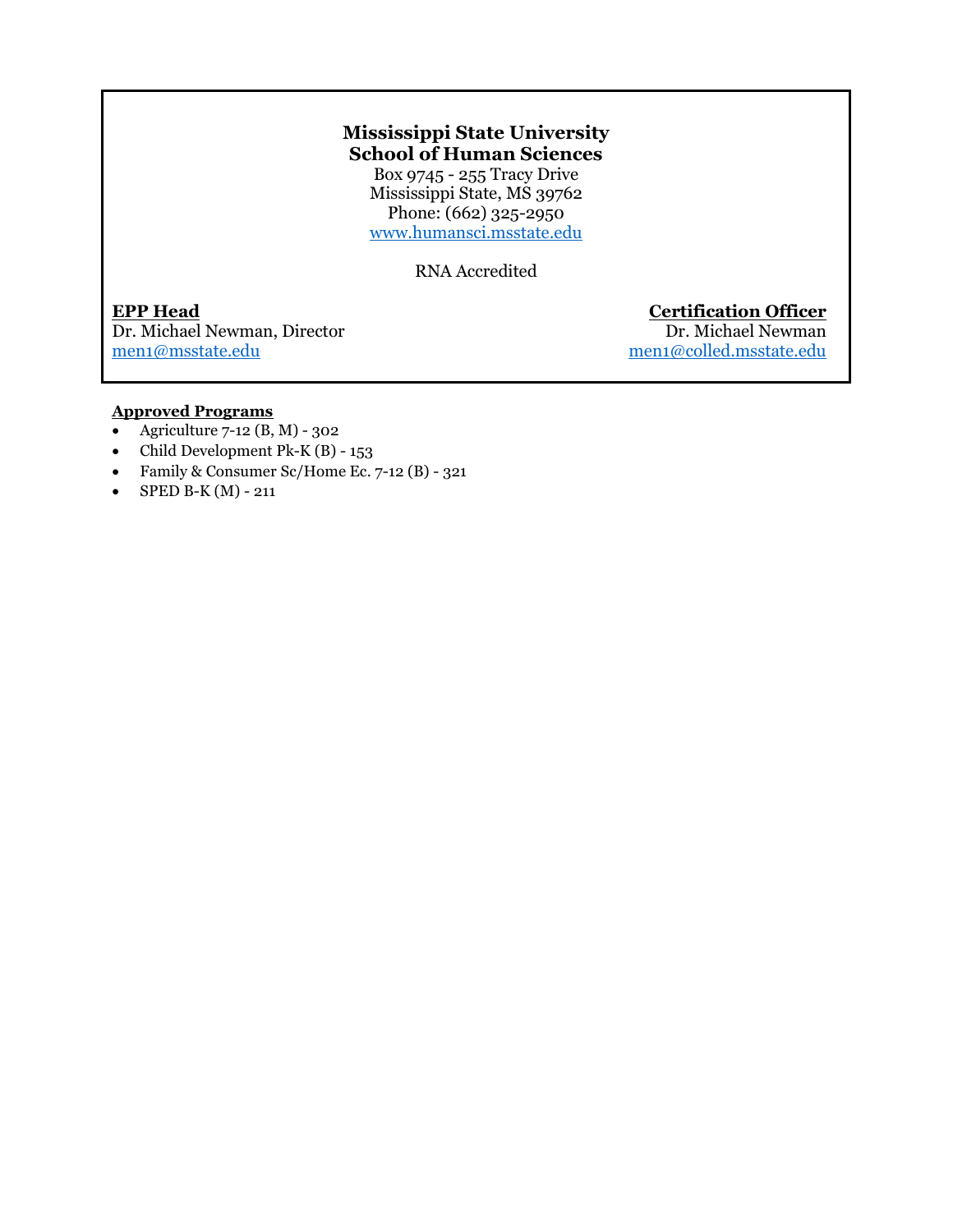### **Mississippi State University School of Human Sciences**

Box 9745 - 255 Tracy Drive Mississippi State, MS 39762 Phone:  $(662)$  325-2950 [www.humansci.msstate.edu](http://www.humansci.msstate.edu/)

RNA Accredited

**EPP Head Certification Officer** Dr. Michael Newman, Director men<sub>1@</sub>msstate.edu

men1@colled.msstate.edu

### **Approved Programs**

- Agriculture  $7-12$  (B, M) 302
- Child Development Pk-K (B) 153
- Family & Consumer Sc/Home Ec. 7-12 (B) 321
- SPED B-K  $(M)$  211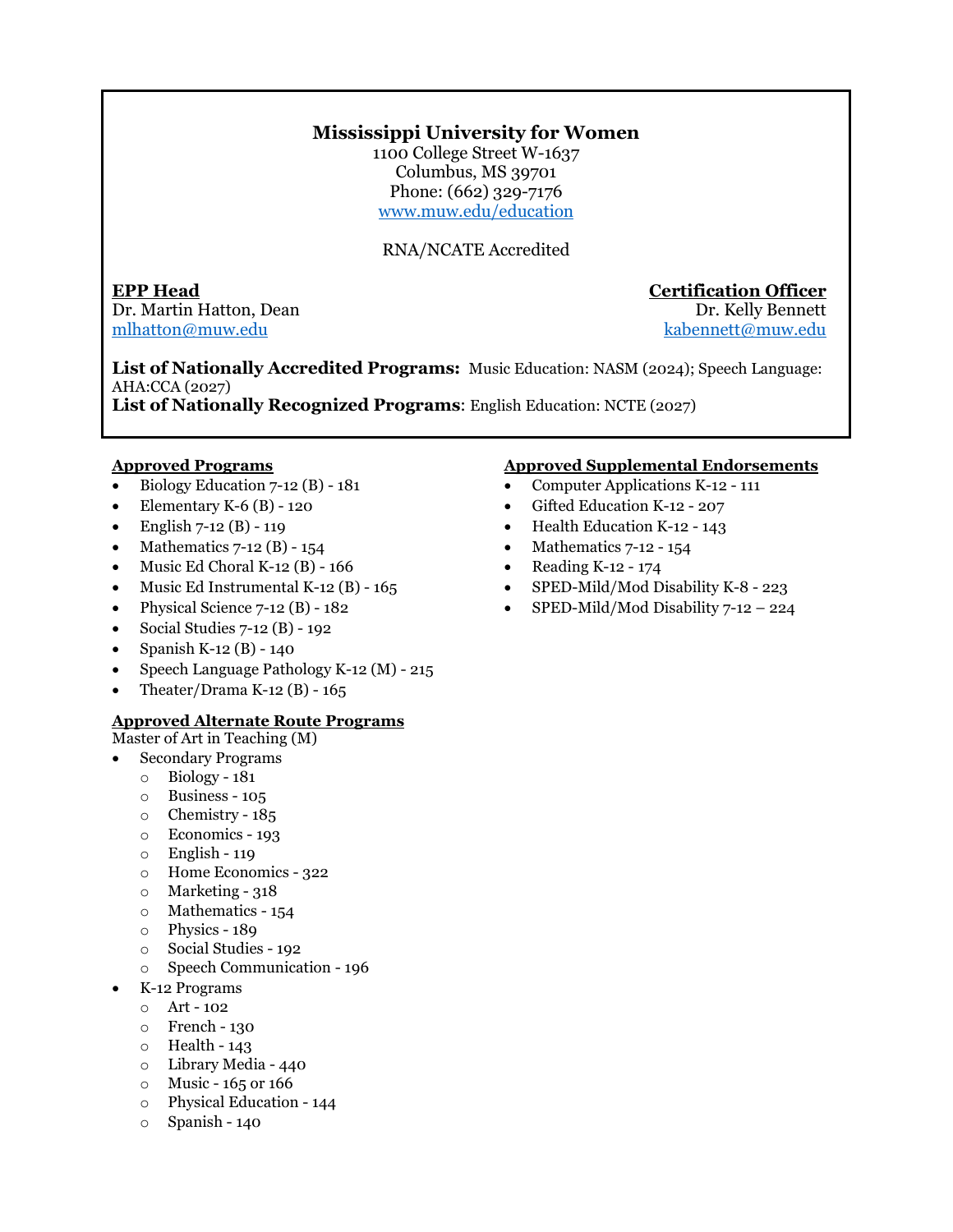### **Mississippi University for Women**

1100 College Street W-1637 Columbus, MS 39701 Phone: (662) 329-7176 [www.muw.edu/education](http://www.muw.edu/education) 

RNA/NCATE Accredited

**EPP Head Certification Officer** Dr. Martin Hatton, Dean Dr. Kelly Bennett [mlhatton@muw.edu](mailto:mlhatton@muw.edu) [kabennett@muw.edu](mailto:kabennett@muw.edu) 

**List of Nationally Accredited Programs:** Music Education: NASM (2024); Speech Language: AHA:CCA (2027)

**List of Nationally Recognized Programs**: English Education: NCTE (2027)

### **Approved Programs**

- Biology Education  $7-12$  (B)  $-181$
- Elementary K-6 (B) 120
- English 7-12 (B) 119
- Mathematics  $7-12$  (B)  $-154$
- Music Ed Choral K-12 (B) 166
- Music Ed Instrumental K-12 (B) 165
- Physical Science 7-12 (B) 182
- Social Studies 7-12 (B) 192
- Spanish K-12 (B) 140
- Speech Language Pathology K-12 (M) 215
- Theater/Drama K-12 (B)  $165$

### **Approved Alternate Route Programs**

- Master of Art in Teaching (M)
- Secondary Programs
	- o Biology 181
	- o Business 105
	- o Chemistry 185
	- o Economics 193
	- $\circ$  English 119
	- o Home Economics 322
	- o Marketing 318
	- o Mathematics 154
	- o Physics 189
	- o Social Studies 192
	- o Speech Communication 196
- K-12 Programs
	- o Art 102
	- o French 130
	- $\circ$  Health 143
	- o Library Media 440
	- $\circ$  Music 165 or 166
	- o Physical Education 144
	- o Spanish 140

- Computer Applications K-12 111
- Gifted Education K-12 207
- Health Education K-12 143
- Mathematics  $7-12 154$
- Reading K-12 174
- SPED-Mild/Mod Disability K-8 223
- SPED-Mild/Mod Disability 7-12 224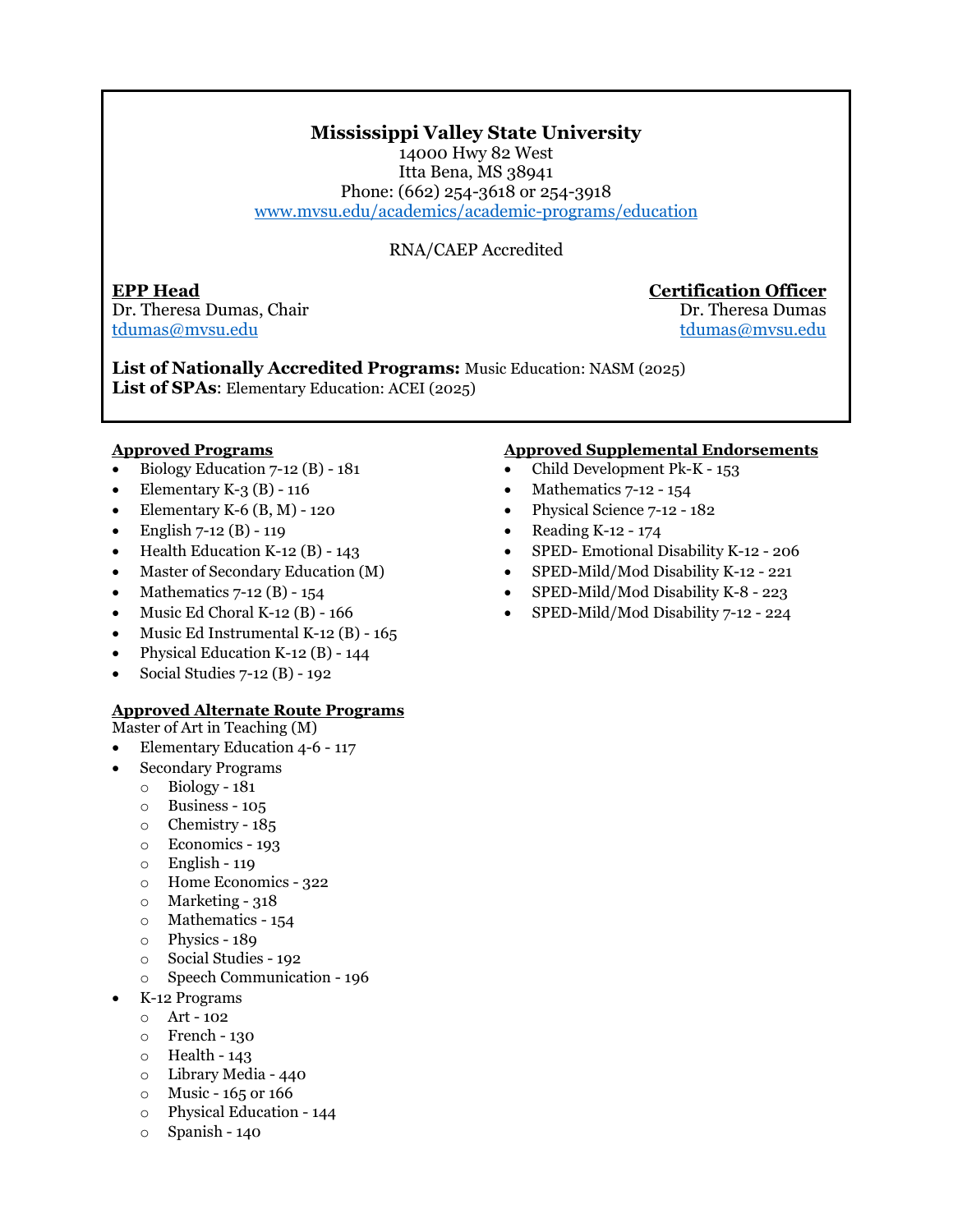### **Mississippi Valley State University**

14000 Hwy 82 West Itta Bena, MS 38941 Phone: (662) 254-3618 or 254-3918 [www.mvsu.edu/academics/academic-programs/education](https://www.mvsu.edu/academics/academic-programs/education)

### RNA/CAEP Accredited

**EPP Head Certification Officer** Dr. Theresa Dumas, Chair **Dr. Theresa Dumas** [tdumas@mvsu.edu](mailto:tdumas@mvsu.edu) [tdumas@mvsu.edu](mailto:tdumas@mvsu.edu) 

**List of Nationally Accredited Programs:** Music Education: NASM (2025) **List of SPAs**: Elementary Education: ACEI (2025)

### **Approved Programs**

- Biology Education 7-12 (B) 181
- Elementary K-3  $(B)$  116
- Elementary K-6  $(B, M)$  120
- English  $7-12$  (B) 119
- Health Education K-12  $(B)$  143
- Master of Secondary Education (M)
- Mathematics  $7-12$  (B)  $-154$
- Music Ed Choral K-12 (B) 166
- Music Ed Instrumental K-12 (B) 165
- Physical Education K-12 (B) 144
- Social Studies 7-12 (B) 192

### **Approved Alternate Route Programs**

Master of Art in Teaching (M)

- Elementary Education 4-6 117
- Secondary Programs
	- o Biology 181
	- o Business 105
	- o Chemistry 185
	- o Economics 193
	- o English 119
	- o Home Economics 322
	- $\circ$  Marketing 318
	- o Mathematics 154
	- o Physics 189
	- o Social Studies 192
	- o Speech Communication 196
	- K-12 Programs
	- $O$  Art 102
	- o French 130
	- $\circ$  Health 143
	- o Library Media 440
	- $\circ$  Music 165 or 166
	- o Physical Education 144
	- o Spanish 140

- Child Development Pk-K 153
- Mathematics 7-12 154
- Physical Science 7-12 182
- Reading K-12 174
- SPED- Emotional Disability K-12 206
- SPED-Mild/Mod Disability K-12 221
- SPED-Mild/Mod Disability K-8 223
- SPED-Mild/Mod Disability 7-12 224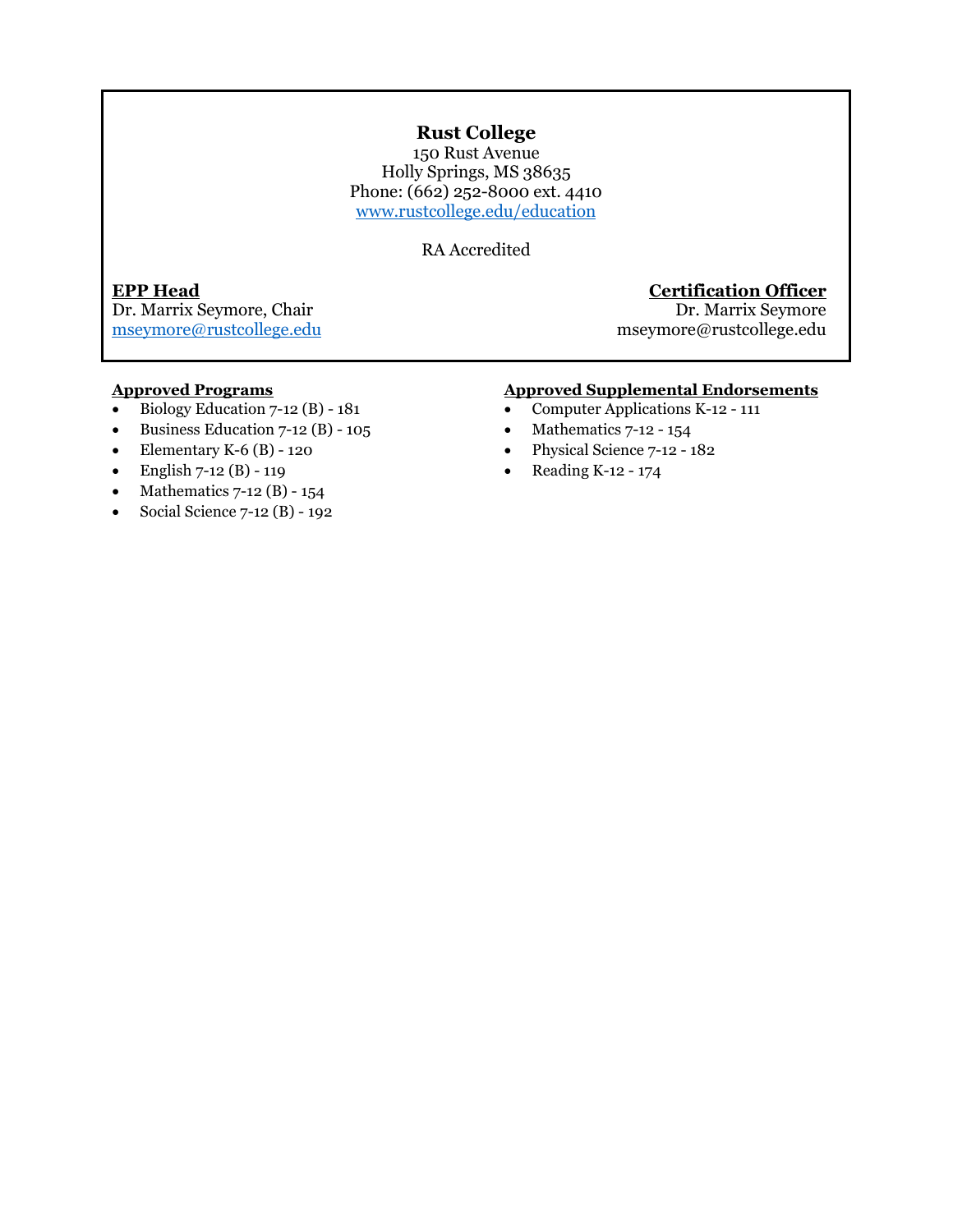### **Rust College**

150 Rust Avenue Holly Springs, MS 38635 Phone: (662) 252-8000 ext. 4410 [www.rustcollege.edu/education](http://www.rustcollege.edu/education) 

RA Accredited

Dr. Marrix Seymore, Chair

### **EPP Head Certification Officer**

[mseymore@rustcollege.edu](mailto:mseymore@rustcollege.edu) mseymore@rustcollege.edu

### **Approved Programs**

- Biology Education 7-12 (B) 181
- Business Education  $7-12$  (B)  $-105$
- Elementary K-6  $(B)$  120
- English  $7-12$  (B) 119
- Mathematics  $7-12$  (B)  $-154$
- Social Science  $7-12$  (B) 192

- Computer Applications K-12 111
- Mathematics  $7-12 154$
- Physical Science 7-12 182
- Reading K-12 174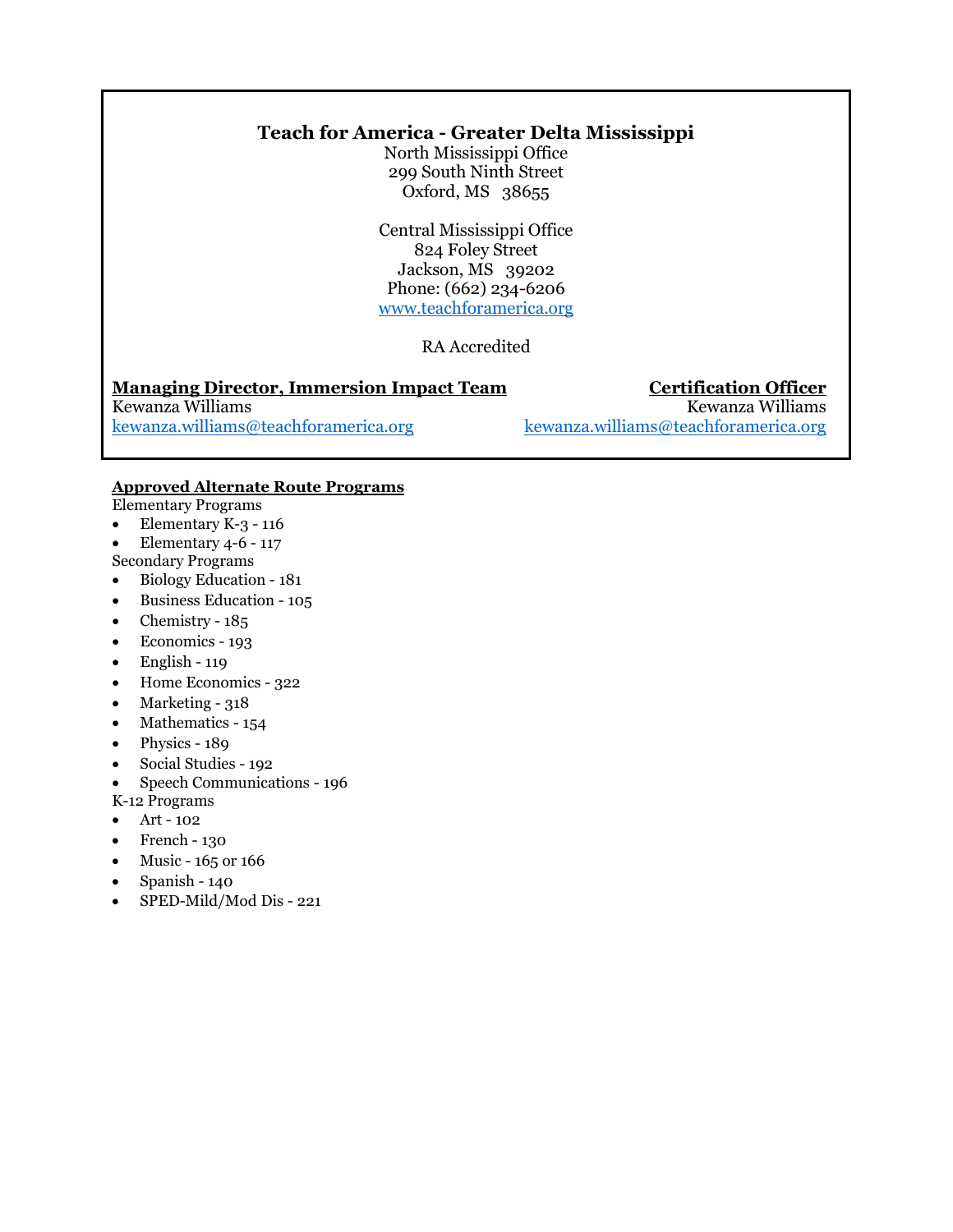### **Teach for America - Greater Delta Mississippi**

North Mississippi Office 299 South Ninth Street Oxford, MS 38655

Central Mississippi Office 824 Foley Street Jackson, MS 39202 Phone: (662) 234-6206 [www.teachforamerica.org](http://www.teachforamerica.org/)

### RA Accredited

**Managing Director, Immersion Impact Team**<br> **Certification Officer**<br> **Kewanza Williams** Kewanza Williams<br>
kewanza.williams<br>
kewanza.williams<br>
kewanza.williams<br>
kewanza.williams<br>
kewanza.williams<br>
kewanza.williams<br>
kewanza.williams<br>
kewanza.williams<br>
deach<br/>foramerica.org [kewanza.williams@teachforamerica.org](mailto:kewanza.williams@teachforamerica.org) [kewanza.williams@teachforamerica.org](mailto:kewanza.williams@teachforamerica.org)

### **Approved Alternate Route Programs**

Elementary Programs

- Elementary K-3 116
- Elementary 4-6 117
- Secondary Programs
- Biology Education 181
- Business Education 105
- Chemistry 185
- Economics 193
- $\bullet$  English 119
- Home Economics 322
- Marketing  $318$
- Mathematics 154
- Physics 189
- Social Studies 192
- Speech Communications 196
- K-12 Programs
- Art 102
- $\bullet$  French 130
- Music 165 or 166
- Spanish 140
- SPED-Mild/Mod Dis 221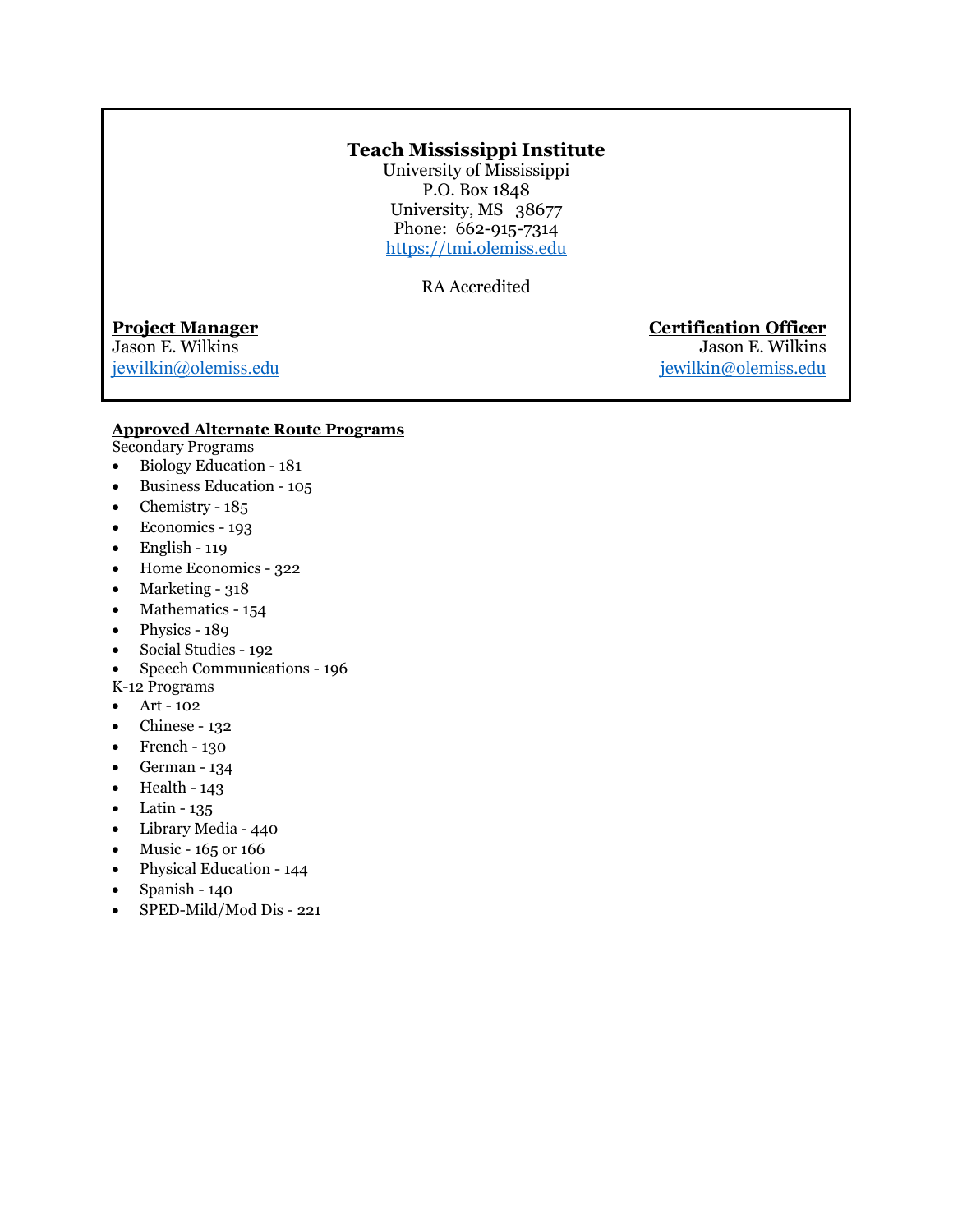### **Teach Mississippi Institute**

University of Mississippi P.O. Box 1848 University, MS 38677 Phone: 662-915-7314 [https://tmi.olemiss.edu](https://tmi.olemiss.edu/)

RA Accredited

Jason E. Wilkins [jewilkin@olemiss.edu](mailto:jewilkin@olemiss.edu) [jewilkin@olemiss.edu](mailto:jewilkin@olemiss.edu)

**Project Manager General Certification Officer**<br>
Jason E. Wilkins **Certification Officer** 

### **Approved Alternate Route Programs**

Secondary Programs

- Biology Education 181
- Business Education 105
- Chemistry 185
- Economics 193
- $\bullet$  English 119
- Home Economics 322
- Marketing 318
- Mathematics 154
- Physics 189
- Social Studies 192
- Speech Communications 196
- K-12 Programs
- Art 102
- Chinese 132
- French 130
- German 134
- Health 143
- $\bullet$  Latin 135
- Library Media 440
- Music  $165$  or  $166$
- Physical Education 144
- Spanish 140
- SPED-Mild/Mod Dis 221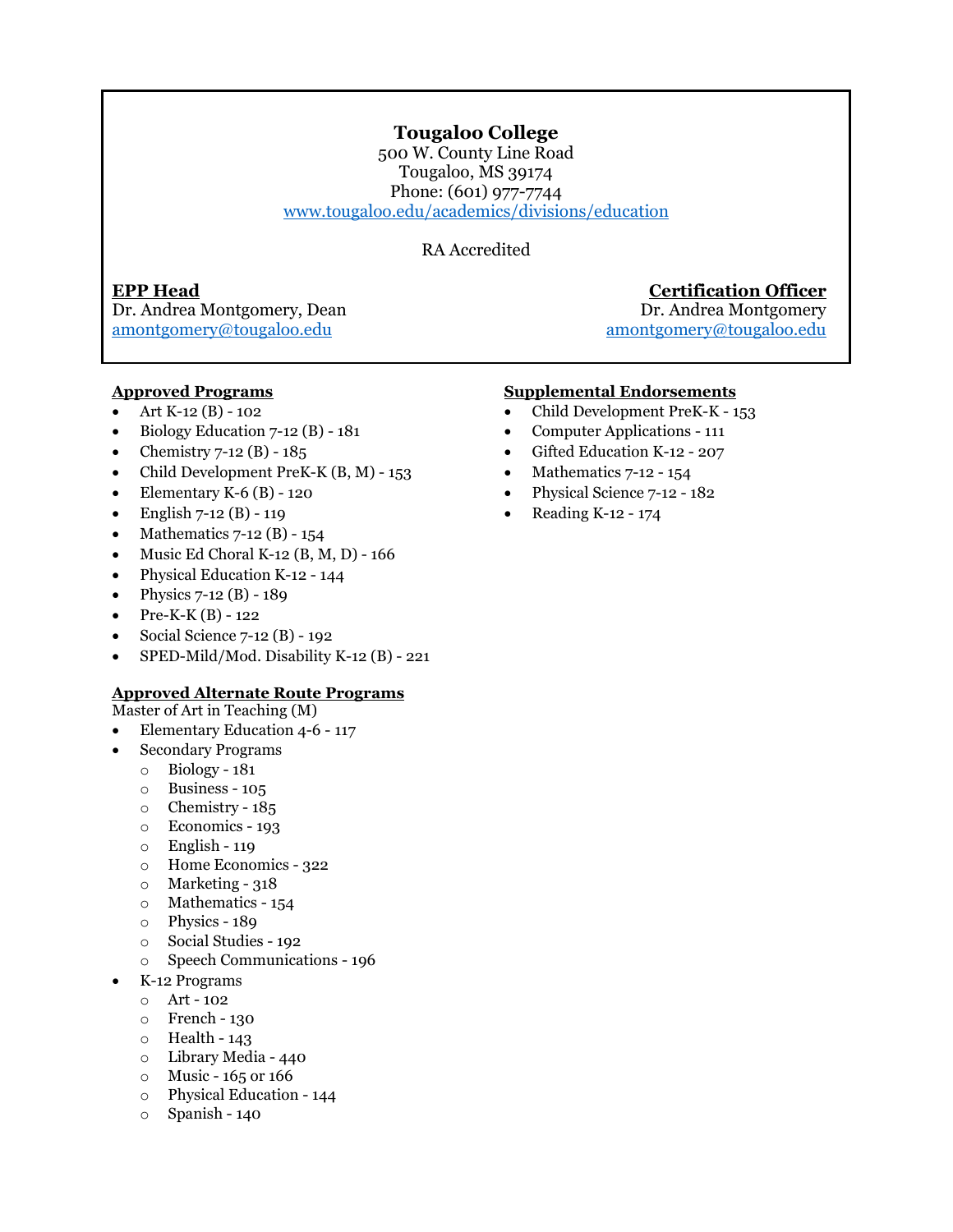### **Tougaloo College**

500 W. County Line Road Tougaloo, MS 39174 Phone: (601) 977-7744 [www.tougaloo.edu/academics/divisions/education](http://www.tougaloo.edu/academics/divisions/education) 

RA Accredited

Dr. Andrea Montgomery, Dean Dr. Andrea Montgomery [amontgomery@tougaloo.edu amontgomery@tougaloo.edu](mailto:amontgomery@tougaloo.edu)

### **EPP Head Certification Officer**

### **Approved Programs**

- Art K-12 (B) 102
- Biology Education 7-12 (B) 181
- Chemistry  $7-12$  (B)  $-185$
- Child Development PreK-K (B, M) 153
- Elementary K-6 $(B)$  120
- English  $7-12$  (B)  $-119$
- Mathematics  $7-12$  (B)  $154$
- Music Ed Choral K-12 (B, M, D) 166
- Physical Education K-12 144
- Physics  $7-12$  (B)  $-189$
- Pre-K-K (B) 122
- Social Science 7-12 (B) 192
- SPED-Mild/Mod. Disability K-12 (B) 221

### **Approved Alternate Route Programs**

- Master of Art in Teaching (M)
- Elementary Education 4-6 117
- Secondary Programs
	- o Biology 181
	- o Business 105
	- o Chemistry 185
	- o Economics 193
	- o English 119
	- o Home Economics 322
	- o Marketing 318
	- o Mathematics 154
	- o Physics 189
	- o Social Studies 192
	- o Speech Communications 196
- K-12 Programs
	- o Art 102
	- o French 130
	- $\circ$  Health 143
	- o Library Media 440
	- $\circ$  Music 165 or 166
	- o Physical Education 144
	- o Spanish 140

### **Supplemental Endorsements**

- Child Development PreK-K 153
- Computer Applications 111
- Gifted Education K-12 207
- Mathematics 7-12 154
- Physical Science 7-12 182
- Reading K-12 174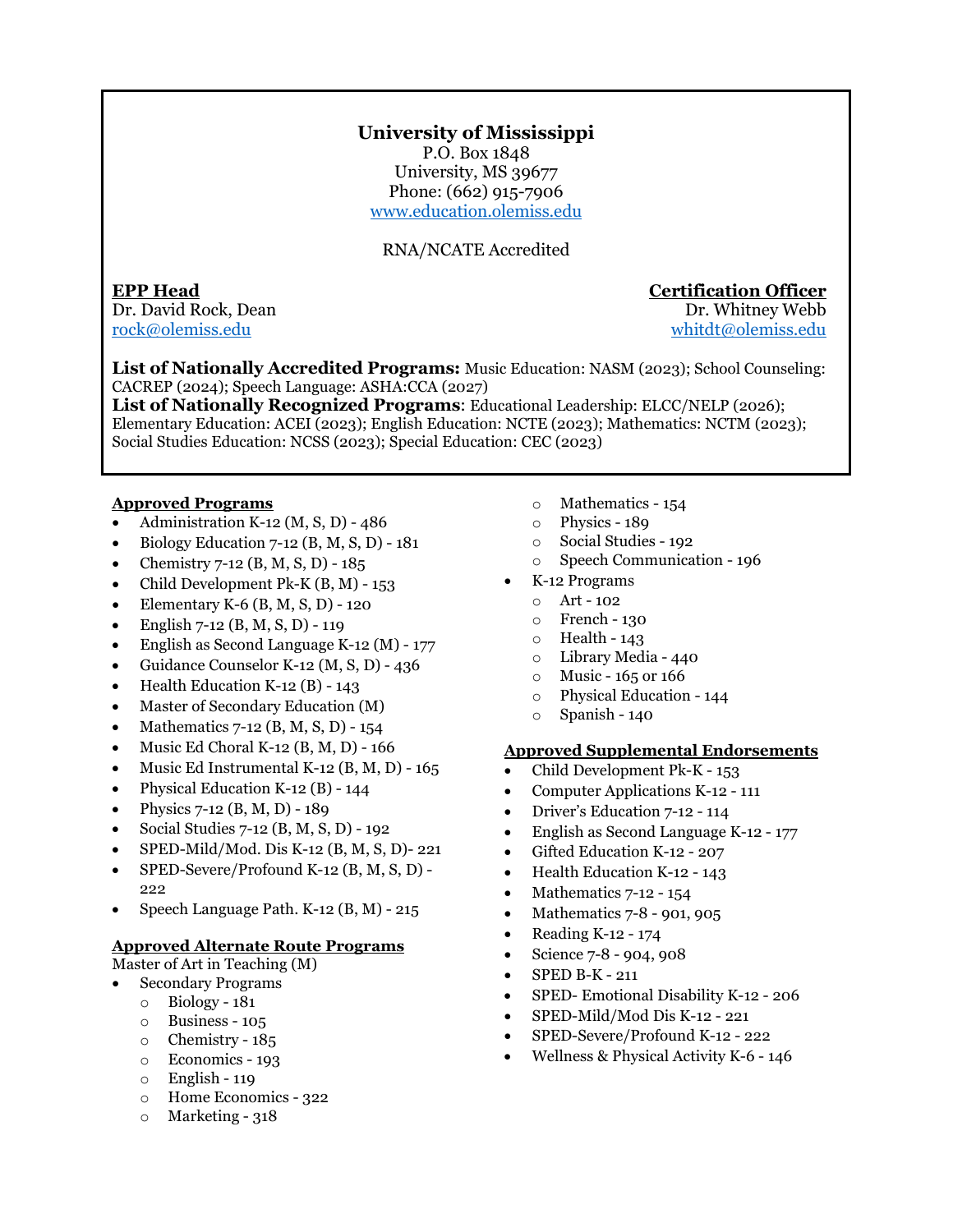### **University of Mississippi**

P.O. Box 1848 University, MS 39677 Phone: (662) 915-7906 [www.education.olemiss.edu](https://education.olemiss.edu/) 

### RNA/NCATE Accredited

Dr. David Rock, Dean Dr. Whitney Webb Tock@olemiss.edu<br>
The United States of the United States of the United States of the United States of the United States of the U

### **EPP Head Certification Officer**

whitdt@olemiss.edu

**List of Nationally Accredited Programs:** Music Education: NASM (2023); School Counseling: CACREP (2024); Speech Language: ASHA:CCA (2027)

**List of Nationally Recognized Programs**: Educational Leadership: ELCC/NELP (2026); Elementary Education: ACEI (2023); English Education: NCTE (2023); Mathematics: NCTM (2023); Social Studies Education: NCSS (2023); Special Education: CEC (2023)

### **Approved Programs**

- Administration K-12 (M, S, D) 486
- Biology Education 7-12 (B, M, S, D) 181
- Chemistry 7-12 (B, M, S, D) 185
- Child Development Pk-K (B, M) 153
- Elementary K-6 (B, M, S, D) 120
- English 7-12 (B, M, S, D) 119
- English as Second Language K-12 (M) 177
- Guidance Counselor K-12 (M, S, D) 436
- Health Education K-12 (B) 143
- Master of Secondary Education (M)
- Mathematics 7-12 (B, M, S, D) 154
- Music Ed Choral K-12 (B, M, D) 166
- Music Ed Instrumental K-12 (B, M, D) 165
- Physical Education K-12 (B) 144
- Physics 7-12 (B, M, D) 189
- Social Studies 7-12 (B, M, S, D) 192
- SPED-Mild/Mod. Dis K-12 (B, M, S, D)- 221
- SPED-Severe/Profound K-12 (B, M, S, D) 222
- Speech Language Path. K-12 (B, M) 215

### **Approved Alternate Route Programs**

Master of Art in Teaching (M)

- Secondary Programs
	- o Biology 181
	- o Business 105
	- o Chemistry 185
	- o Economics 193
	- o English 119
	- o Home Economics 322
	- $\circ$  Marketing 318
- o Mathematics 154
- o Physics 189
- o Social Studies 192
- o Speech Communication 196
- K-12 Programs
	- o Art 102
	- o French 130
	- $\circ$  Health 143
	- o Library Media 440
	- $\circ$  Music 165 or 166
	- o Physical Education 144
	- o Spanish 140

- Child Development Pk-K 153
- Computer Applications K-12 111
- Driver's Education 7-12 114
- English as Second Language K-12 177
- Gifted Education K-12 207
- Health Education K-12 143
- Mathematics 7-12 154
- Mathematics 7-8 901, 905
- Reading K-12 174
- Science 7-8 904, 908
- SPED B-K 211
- SPED- Emotional Disability K-12 206
- SPED-Mild/Mod Dis K-12 221
- SPED-Severe/Profound K-12 222
- Wellness & Physical Activity K-6 146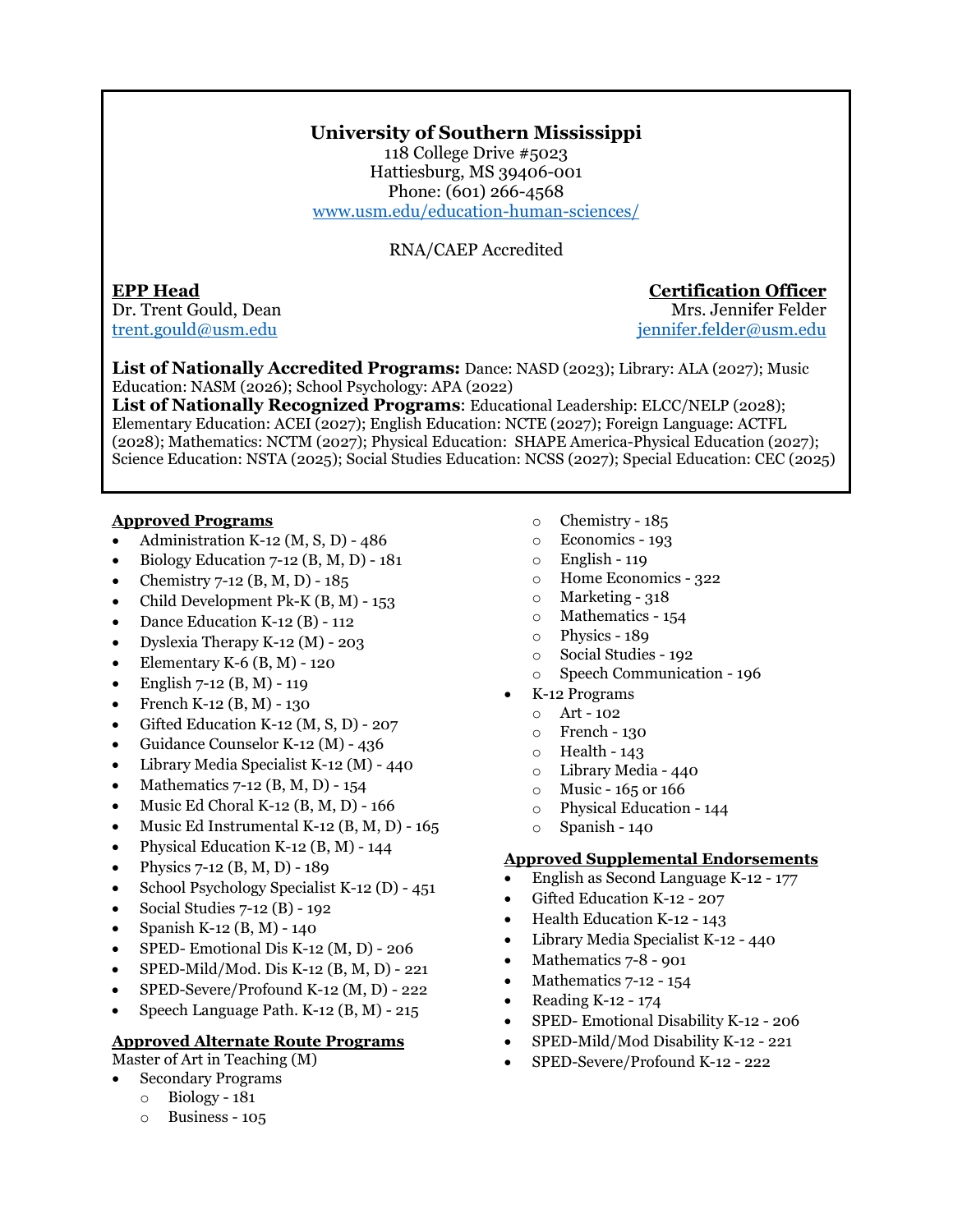### **University of Southern Mississippi**

118 College Drive #5023 Hattiesburg, MS 39406-001 Phone: (601) 266-4568 [www.usm.edu/education-human-sciences/](https://www.usm.edu/education-human-sciences/)

RNA/CAEP Accredited

### **EPP Head Certification Officer** Dr. Trent Gould, Dean

[trent.gould@usm.edu](mailto:trent.gould@usm.edu) [jennifer.felder@usm.edu](mailto:jennifer.felder@usm.edu) 

**List of Nationally Accredited Programs:** Dance: NASD (2023); Library: ALA (2027); Music Education: NASM (2026); School Psychology: APA (2022)

**List of Nationally Recognized Programs**: Educational Leadership: ELCC/NELP (2028); Elementary Education: ACEI (2027); English Education: NCTE (2027); Foreign Language: ACTFL (2028); Mathematics: NCTM (2027); Physical Education: SHAPE America-Physical Education (2027); Science Education: NSTA (2025); Social Studies Education: NCSS (2027); Special Education: CEC (2025)

### **Approved Programs**

- Administration K-12 (M, S, D) 486
- Biology Education 7-12 (B, M, D) 181
- Chemistry 7-12 (B, M, D) 185
- Child Development Pk-K  $(B, M)$  153
- Dance Education K-12 (B) 112
- Dyslexia Therapy K-12 (M) 203
- Elementary K-6  $(B, M)$  120
- English  $7-12$  (B, M) 119
- French K-12 (B, M) 130
- Gifted Education K-12 (M, S, D) 207
- Guidance Counselor K-12 (M) 436
- Library Media Specialist K-12 (M) 440
- Mathematics 7-12 (B, M, D) 154
- Music Ed Choral K-12 (B, M, D) 166
- Music Ed Instrumental K-12 (B, M, D) 165
- Physical Education K-12  $(B, M)$  144
- Physics 7-12 (B, M, D) 189
- School Psychology Specialist K-12 (D) 451
- Social Studies 7-12 (B) 192
- Spanish K-12 (B, M) 140
- SPED- Emotional Dis K-12 (M, D) 206
- SPED-Mild/Mod. Dis K-12 (B, M, D) 221
- SPED-Severe/Profound K-12 (M, D) 222
- Speech Language Path. K-12 (B, M) 215

### **Approved Alternate Route Programs**

Master of Art in Teaching (M)

- Secondary Programs
- o Biology 181
	- o Business 105
- o Chemistry 185
- o Economics 193
- o English 119
- o Home Economics 322
- $\circ$  Marketing 318
- o Mathematics 154
- o Physics 189
- o Social Studies 192
- o Speech Communication 196
- K-12 Programs
	- o Art 102
	- o French 130
	- o Health 143
	- o Library Media 440
	- o Music 165 or 166
	- o Physical Education 144
	- o Spanish 140

- English as Second Language K-12 177
- Gifted Education K-12 207
- Health Education K-12 143
- Library Media Specialist K-12 440
- Mathematics 7-8 901
- Mathematics 7-12 154
- Reading K-12 174
- SPED- Emotional Disability K-12 206
- SPED-Mild/Mod Disability K-12 221
- SPED-Severe/Profound K-12 222